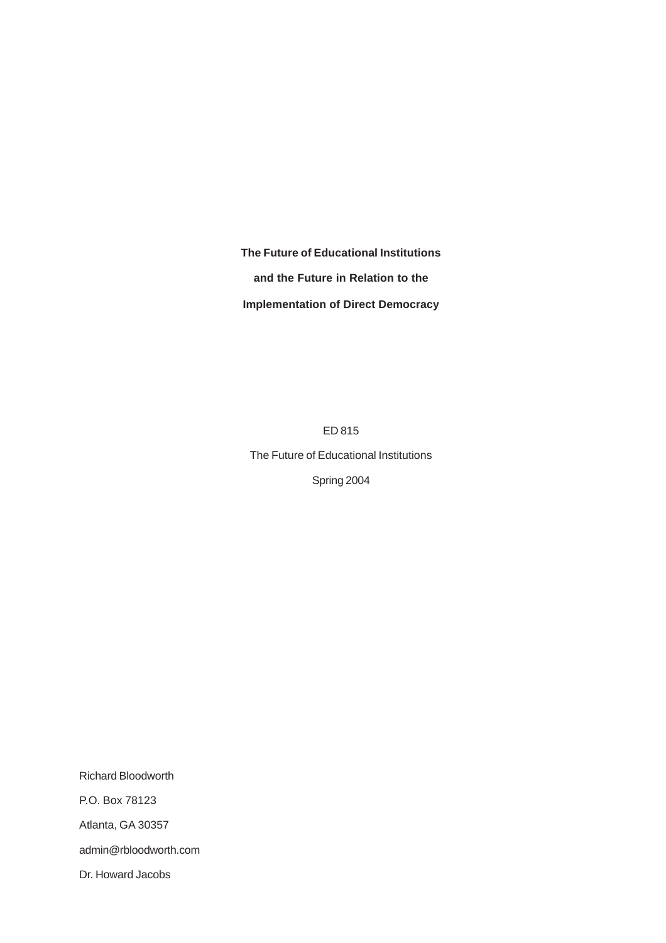**The Future of Educational Institutions**

**and the Future in Relation to the**

**Implementation of Direct Democracy**

ED 815

The Future of Educational Institutions

Spring 2004

Richard Bloodworth P.O. Box 78123 Atlanta, GA 30357 admin@rbloodworth.com Dr. Howard Jacobs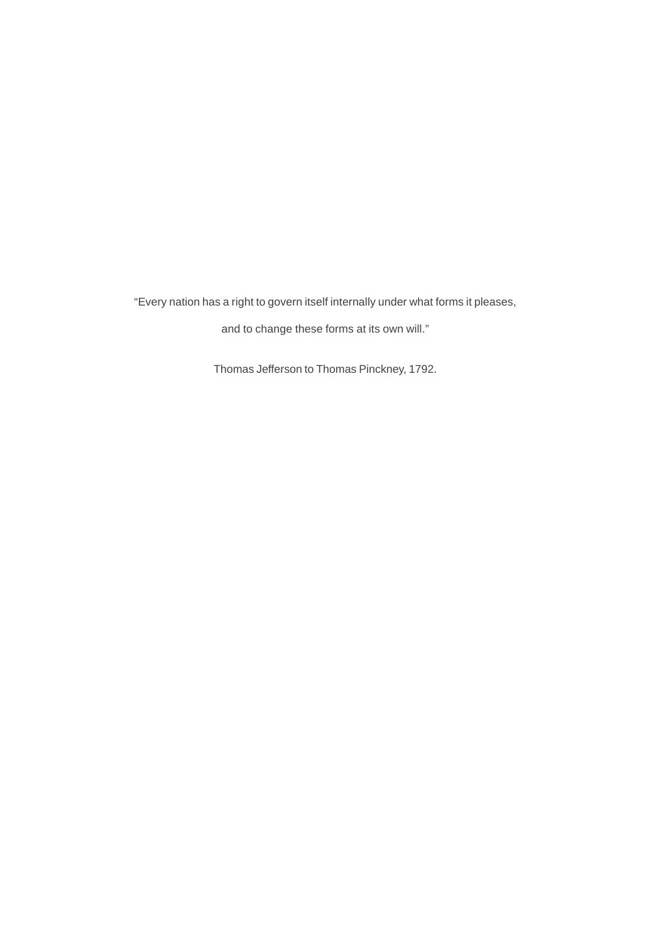"Every nation has a right to govern itself internally under what forms it pleases,

and to change these forms at its own will."

Thomas Jefferson to Thomas Pinckney, 1792.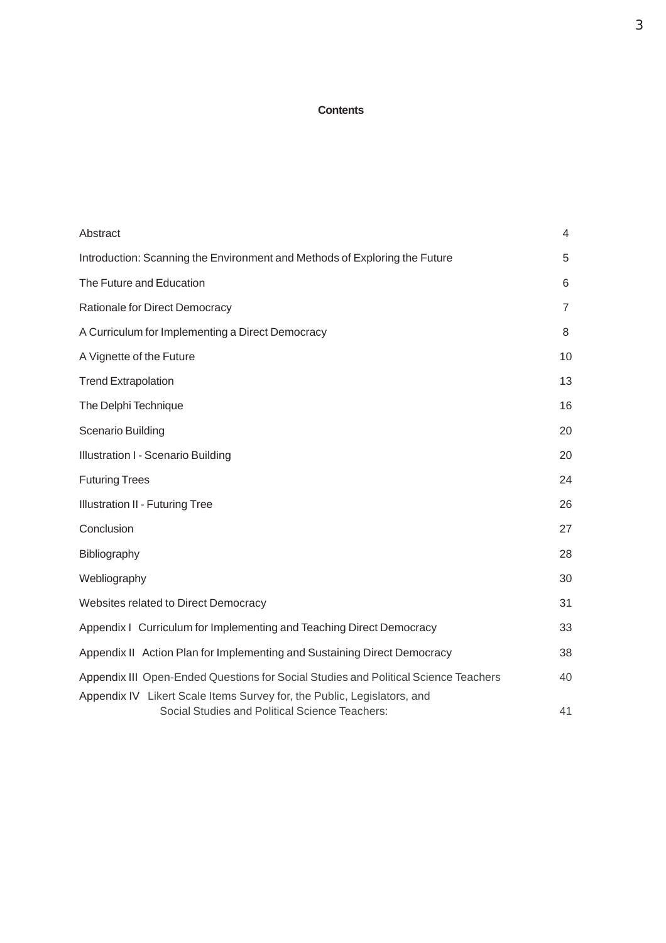# **Contents**

| Abstract                                                                                                                  | 4              |  |  |  |
|---------------------------------------------------------------------------------------------------------------------------|----------------|--|--|--|
| Introduction: Scanning the Environment and Methods of Exploring the Future                                                |                |  |  |  |
| The Future and Education                                                                                                  | 6              |  |  |  |
| Rationale for Direct Democracy                                                                                            | $\overline{7}$ |  |  |  |
| A Curriculum for Implementing a Direct Democracy                                                                          |                |  |  |  |
| A Vignette of the Future                                                                                                  |                |  |  |  |
| <b>Trend Extrapolation</b>                                                                                                | 13             |  |  |  |
| The Delphi Technique                                                                                                      | 16             |  |  |  |
| Scenario Building                                                                                                         | 20             |  |  |  |
| Illustration I - Scenario Building                                                                                        | 20             |  |  |  |
| <b>Futuring Trees</b>                                                                                                     | 24             |  |  |  |
| <b>Illustration II - Futuring Tree</b>                                                                                    | 26             |  |  |  |
| Conclusion                                                                                                                | 27             |  |  |  |
| Bibliography                                                                                                              | 28             |  |  |  |
| Webliography                                                                                                              | 30             |  |  |  |
| Websites related to Direct Democracy                                                                                      | 31             |  |  |  |
| Appendix I Curriculum for Implementing and Teaching Direct Democracy                                                      | 33             |  |  |  |
| Appendix II Action Plan for Implementing and Sustaining Direct Democracy                                                  | 38             |  |  |  |
| Appendix III Open-Ended Questions for Social Studies and Political Science Teachers                                       | 40             |  |  |  |
| Appendix IV Likert Scale Items Survey for, the Public, Legislators, and<br>Social Studies and Political Science Teachers: | 41             |  |  |  |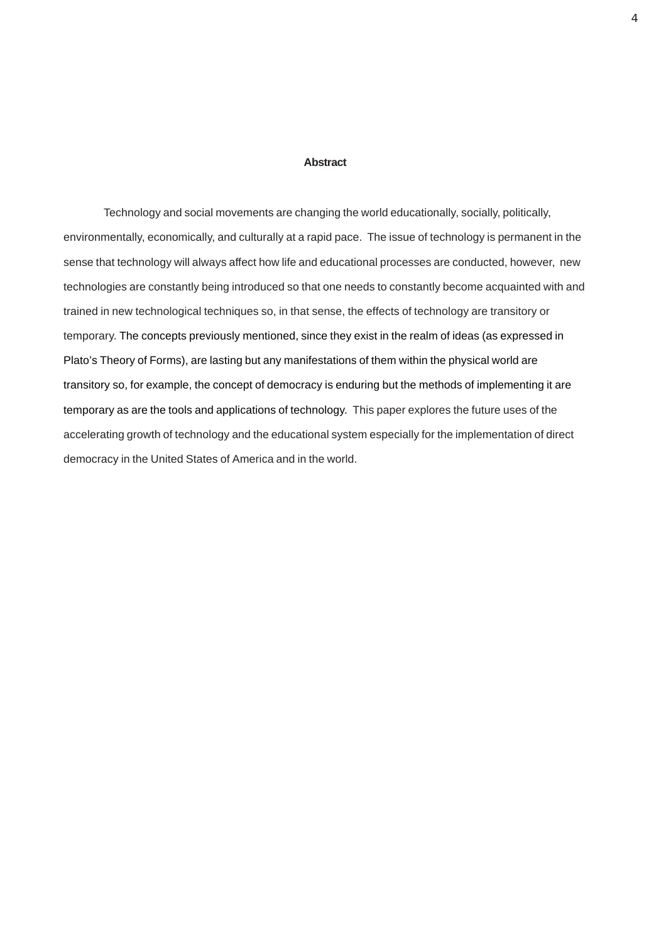#### **Abstract**

Technology and social movements are changing the world educationally, socially, politically, environmentally, economically, and culturally at a rapid pace. The issue of technology is permanent in the sense that technology will always affect how life and educational processes are conducted, however, new technologies are constantly being introduced so that one needs to constantly become acquainted with and trained in new technological techniques so, in that sense, the effects of technology are transitory or temporary. The concepts previously mentioned, since they exist in the realm of ideas (as expressed in Plato's Theory of Forms), are lasting but any manifestations of them within the physical world are transitory so, for example, the concept of democracy is enduring but the methods of implementing it are temporary as are the tools and applications of technology. This paper explores the future uses of the accelerating growth of technology and the educational system especially for the implementation of direct democracy in the United States of America and in the world.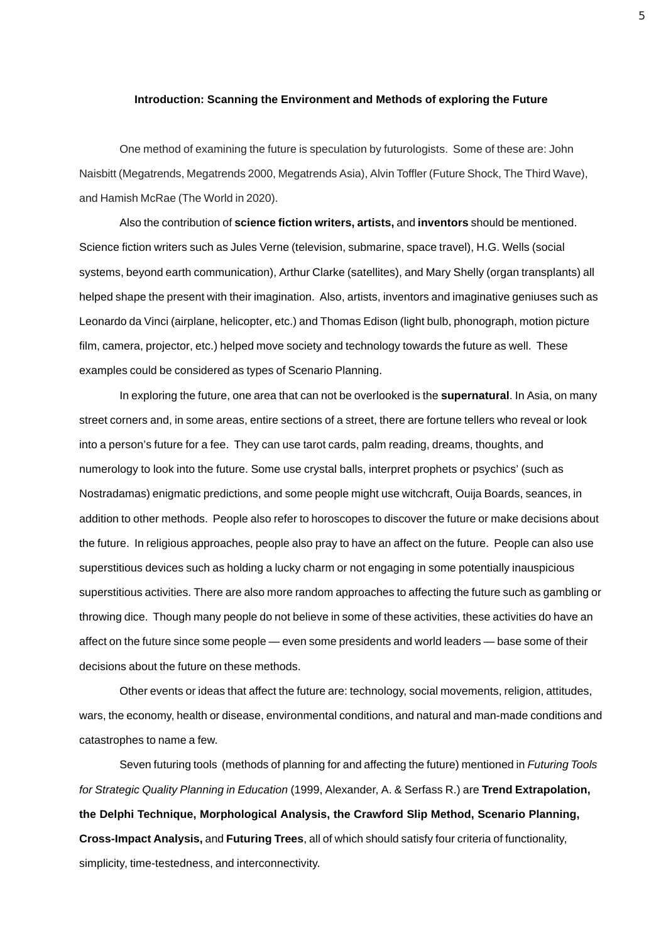#### **Introduction: Scanning the Environment and Methods of exploring the Future**

One method of examining the future is speculation by futurologists. Some of these are: John Naisbitt (Megatrends, Megatrends 2000, Megatrends Asia), Alvin Toffler (Future Shock, The Third Wave), and Hamish McRae (The World in 2020).

Also the contribution of **science fiction writers, artists,** and **inventors** should be mentioned. Science fiction writers such as Jules Verne (television, submarine, space travel), H.G. Wells (social systems, beyond earth communication), Arthur Clarke (satellites), and Mary Shelly (organ transplants) all helped shape the present with their imagination. Also, artists, inventors and imaginative geniuses such as Leonardo da Vinci (airplane, helicopter, etc.) and Thomas Edison (light bulb, phonograph, motion picture film, camera, projector, etc.) helped move society and technology towards the future as well. These examples could be considered as types of Scenario Planning.

In exploring the future, one area that can not be overlooked is the **supernatural**. In Asia, on many street corners and, in some areas, entire sections of a street, there are fortune tellers who reveal or look into a person's future for a fee. They can use tarot cards, palm reading, dreams, thoughts, and numerology to look into the future. Some use crystal balls, interpret prophets or psychics' (such as Nostradamas) enigmatic predictions, and some people might use witchcraft, Ouija Boards, seances, in addition to other methods. People also refer to horoscopes to discover the future or make decisions about the future. In religious approaches, people also pray to have an affect on the future. People can also use superstitious devices such as holding a lucky charm or not engaging in some potentially inauspicious superstitious activities. There are also more random approaches to affecting the future such as gambling or throwing dice. Though many people do not believe in some of these activities, these activities do have an affect on the future since some people — even some presidents and world leaders — base some of their decisions about the future on these methods.

Other events or ideas that affect the future are: technology, social movements, religion, attitudes, wars, the economy, health or disease, environmental conditions, and natural and man-made conditions and catastrophes to name a few.

Seven futuring tools (methods of planning for and affecting the future) mentioned in *Futuring Tools for Strategic Quality Planning in Education* (1999, Alexander, A. & Serfass R.) are **Trend Extrapolation, the Delphi Technique, Morphological Analysis, the Crawford Slip Method, Scenario Planning, Cross-Impact Analysis,** and **Futuring Trees**, all of which should satisfy four criteria of functionality, simplicity, time-testedness, and interconnectivity.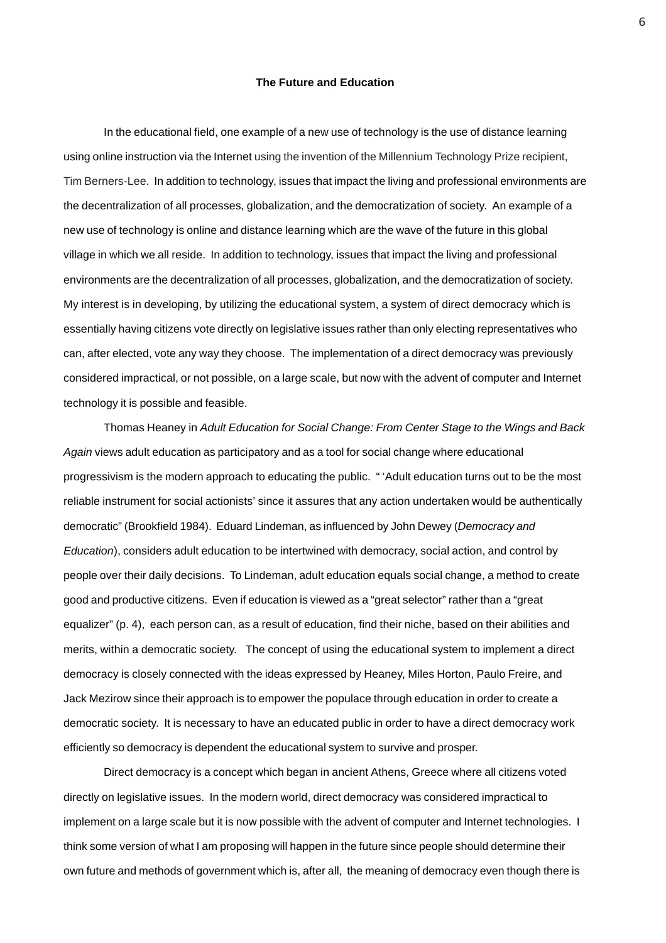# **The Future and Education**

In the educational field, one example of a new use of technology is the use of distance learning using online instruction via the Internet using the invention of the Millennium Technology Prize recipient, Tim Berners-Lee. In addition to technology, issues that impact the living and professional environments are the decentralization of all processes, globalization, and the democratization of society. An example of a new use of technology is online and distance learning which are the wave of the future in this global village in which we all reside. In addition to technology, issues that impact the living and professional environments are the decentralization of all processes, globalization, and the democratization of society. My interest is in developing, by utilizing the educational system, a system of direct democracy which is essentially having citizens vote directly on legislative issues rather than only electing representatives who can, after elected, vote any way they choose. The implementation of a direct democracy was previously considered impractical, or not possible, on a large scale, but now with the advent of computer and Internet technology it is possible and feasible.

Thomas Heaney in *Adult Education for Social Change: From Center Stage to the Wings and Back Again* views adult education as participatory and as a tool for social change where educational progressivism is the modern approach to educating the public. " 'Adult education turns out to be the most reliable instrument for social actionists' since it assures that any action undertaken would be authentically democratic" (Brookfield 1984). Eduard Lindeman, as influenced by John Dewey (*Democracy and Education*), considers adult education to be intertwined with democracy, social action, and control by people over their daily decisions. To Lindeman, adult education equals social change, a method to create good and productive citizens. Even if education is viewed as a "great selector" rather than a "great equalizer" (p. 4), each person can, as a result of education, find their niche, based on their abilities and merits, within a democratic society. The concept of using the educational system to implement a direct democracy is closely connected with the ideas expressed by Heaney, Miles Horton, Paulo Freire, and Jack Mezirow since their approach is to empower the populace through education in order to create a democratic society. It is necessary to have an educated public in order to have a direct democracy work efficiently so democracy is dependent the educational system to survive and prosper.

Direct democracy is a concept which began in ancient Athens, Greece where all citizens voted directly on legislative issues. In the modern world, direct democracy was considered impractical to implement on a large scale but it is now possible with the advent of computer and Internet technologies. I think some version of what I am proposing will happen in the future since people should determine their own future and methods of government which is, after all, the meaning of democracy even though there is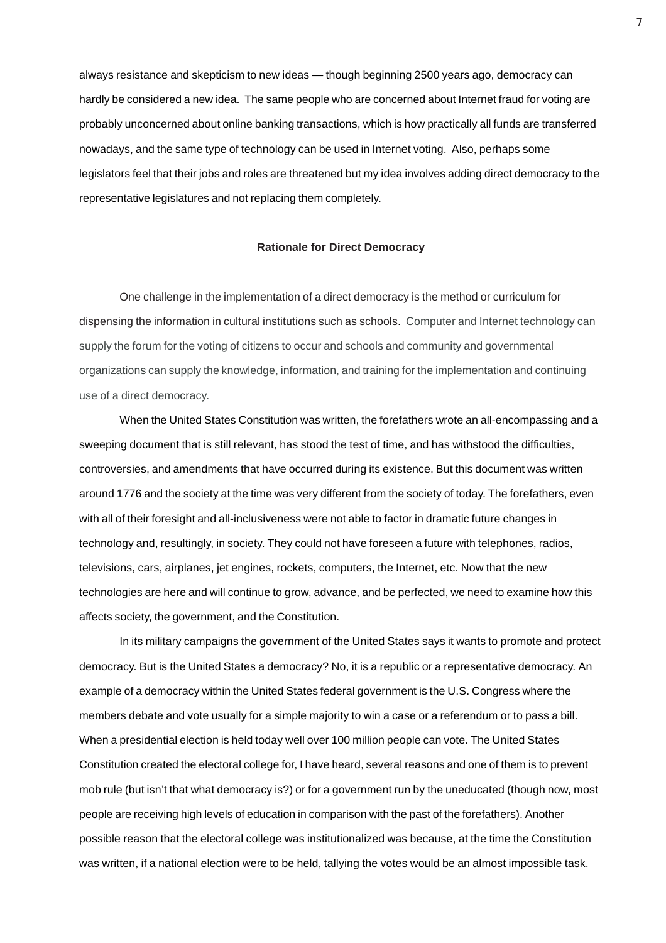always resistance and skepticism to new ideas — though beginning 2500 years ago, democracy can hardly be considered a new idea. The same people who are concerned about Internet fraud for voting are probably unconcerned about online banking transactions, which is how practically all funds are transferred nowadays, and the same type of technology can be used in Internet voting. Also, perhaps some legislators feel that their jobs and roles are threatened but my idea involves adding direct democracy to the representative legislatures and not replacing them completely.

#### **Rationale for Direct Democracy**

One challenge in the implementation of a direct democracy is the method or curriculum for dispensing the information in cultural institutions such as schools. Computer and Internet technology can supply the forum for the voting of citizens to occur and schools and community and governmental organizations can supply the knowledge, information, and training for the implementation and continuing use of a direct democracy.

When the United States Constitution was written, the forefathers wrote an all-encompassing and a sweeping document that is still relevant, has stood the test of time, and has withstood the difficulties, controversies, and amendments that have occurred during its existence. But this document was written around 1776 and the society at the time was very different from the society of today. The forefathers, even with all of their foresight and all-inclusiveness were not able to factor in dramatic future changes in technology and, resultingly, in society. They could not have foreseen a future with telephones, radios, televisions, cars, airplanes, jet engines, rockets, computers, the Internet, etc. Now that the new technologies are here and will continue to grow, advance, and be perfected, we need to examine how this affects society, the government, and the Constitution.

In its military campaigns the government of the United States says it wants to promote and protect democracy. But is the United States a democracy? No, it is a republic or a representative democracy. An example of a democracy within the United States federal government is the U.S. Congress where the members debate and vote usually for a simple majority to win a case or a referendum or to pass a bill. When a presidential election is held today well over 100 million people can vote. The United States Constitution created the electoral college for, I have heard, several reasons and one of them is to prevent mob rule (but isn't that what democracy is?) or for a government run by the uneducated (though now, most people are receiving high levels of education in comparison with the past of the forefathers). Another possible reason that the electoral college was institutionalized was because, at the time the Constitution was written, if a national election were to be held, tallying the votes would be an almost impossible task.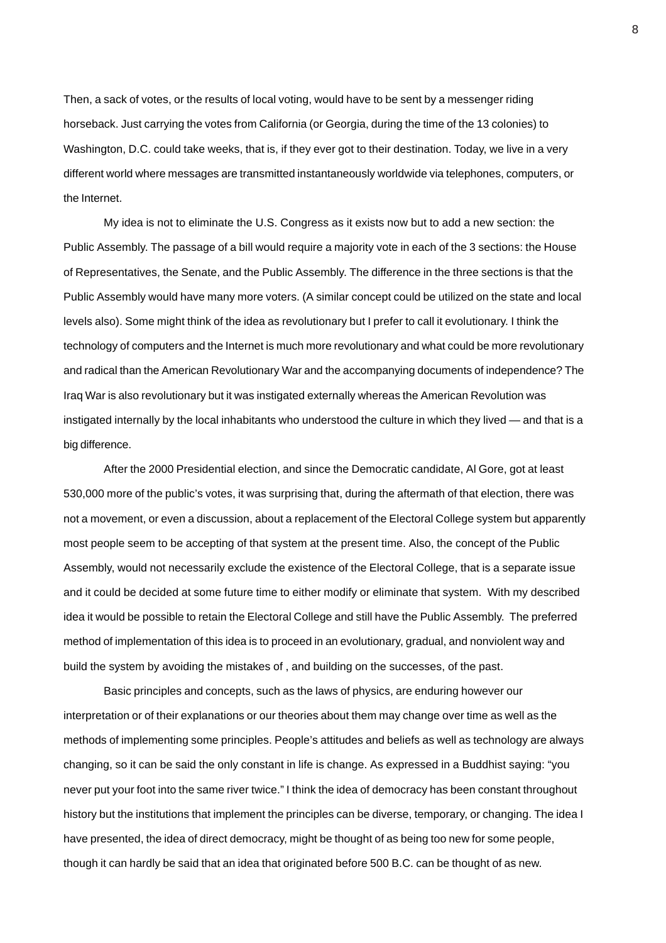Then, a sack of votes, or the results of local voting, would have to be sent by a messenger riding horseback. Just carrying the votes from California (or Georgia, during the time of the 13 colonies) to Washington, D.C. could take weeks, that is, if they ever got to their destination. Today, we live in a very different world where messages are transmitted instantaneously worldwide via telephones, computers, or the Internet.

My idea is not to eliminate the U.S. Congress as it exists now but to add a new section: the Public Assembly. The passage of a bill would require a majority vote in each of the 3 sections: the House of Representatives, the Senate, and the Public Assembly. The difference in the three sections is that the Public Assembly would have many more voters. (A similar concept could be utilized on the state and local levels also). Some might think of the idea as revolutionary but I prefer to call it evolutionary. I think the technology of computers and the Internet is much more revolutionary and what could be more revolutionary and radical than the American Revolutionary War and the accompanying documents of independence? The Iraq War is also revolutionary but it was instigated externally whereas the American Revolution was instigated internally by the local inhabitants who understood the culture in which they lived — and that is a big difference.

After the 2000 Presidential election, and since the Democratic candidate, Al Gore, got at least 530,000 more of the public's votes, it was surprising that, during the aftermath of that election, there was not a movement, or even a discussion, about a replacement of the Electoral College system but apparently most people seem to be accepting of that system at the present time. Also, the concept of the Public Assembly, would not necessarily exclude the existence of the Electoral College, that is a separate issue and it could be decided at some future time to either modify or eliminate that system. With my described idea it would be possible to retain the Electoral College and still have the Public Assembly. The preferred method of implementation of this idea is to proceed in an evolutionary, gradual, and nonviolent way and build the system by avoiding the mistakes of , and building on the successes, of the past.

Basic principles and concepts, such as the laws of physics, are enduring however our interpretation or of their explanations or our theories about them may change over time as well as the methods of implementing some principles. People's attitudes and beliefs as well as technology are always changing, so it can be said the only constant in life is change. As expressed in a Buddhist saying: "you never put your foot into the same river twice." I think the idea of democracy has been constant throughout history but the institutions that implement the principles can be diverse, temporary, or changing. The idea I have presented, the idea of direct democracy, might be thought of as being too new for some people, though it can hardly be said that an idea that originated before 500 B.C. can be thought of as new.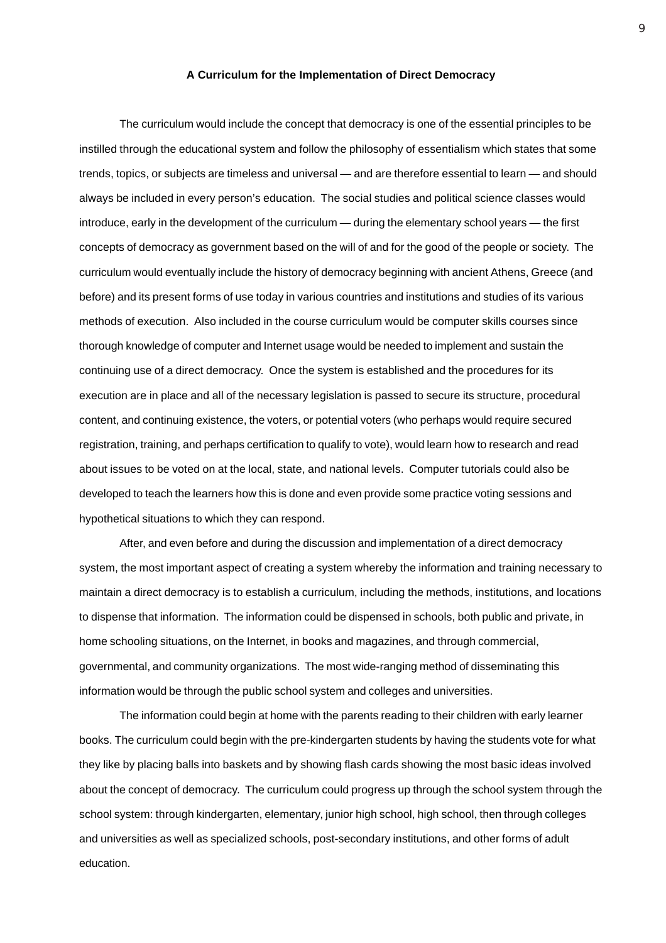#### **A Curriculum for the Implementation of Direct Democracy**

The curriculum would include the concept that democracy is one of the essential principles to be instilled through the educational system and follow the philosophy of essentialism which states that some trends, topics, or subjects are timeless and universal — and are therefore essential to learn — and should always be included in every person's education. The social studies and political science classes would introduce, early in the development of the curriculum — during the elementary school years — the first concepts of democracy as government based on the will of and for the good of the people or society. The curriculum would eventually include the history of democracy beginning with ancient Athens, Greece (and before) and its present forms of use today in various countries and institutions and studies of its various methods of execution. Also included in the course curriculum would be computer skills courses since thorough knowledge of computer and Internet usage would be needed to implement and sustain the continuing use of a direct democracy. Once the system is established and the procedures for its execution are in place and all of the necessary legislation is passed to secure its structure, procedural content, and continuing existence, the voters, or potential voters (who perhaps would require secured registration, training, and perhaps certification to qualify to vote), would learn how to research and read about issues to be voted on at the local, state, and national levels. Computer tutorials could also be developed to teach the learners how this is done and even provide some practice voting sessions and hypothetical situations to which they can respond.

After, and even before and during the discussion and implementation of a direct democracy system, the most important aspect of creating a system whereby the information and training necessary to maintain a direct democracy is to establish a curriculum, including the methods, institutions, and locations to dispense that information. The information could be dispensed in schools, both public and private, in home schooling situations, on the Internet, in books and magazines, and through commercial, governmental, and community organizations. The most wide-ranging method of disseminating this information would be through the public school system and colleges and universities.

The information could begin at home with the parents reading to their children with early learner books. The curriculum could begin with the pre-kindergarten students by having the students vote for what they like by placing balls into baskets and by showing flash cards showing the most basic ideas involved about the concept of democracy. The curriculum could progress up through the school system through the school system: through kindergarten, elementary, junior high school, high school, then through colleges and universities as well as specialized schools, post-secondary institutions, and other forms of adult education.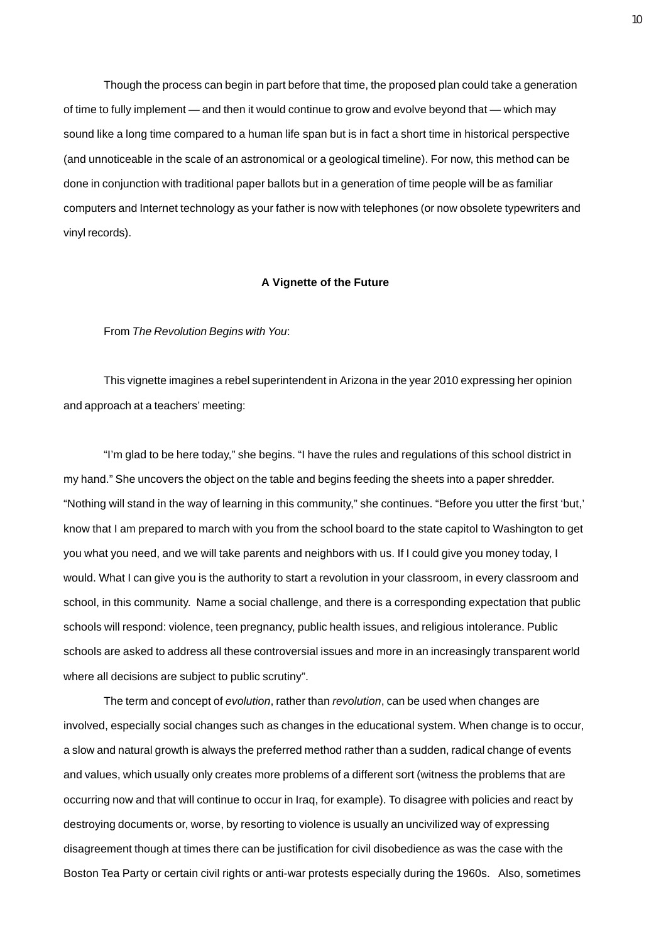Though the process can begin in part before that time, the proposed plan could take a generation of time to fully implement — and then it would continue to grow and evolve beyond that — which may sound like a long time compared to a human life span but is in fact a short time in historical perspective (and unnoticeable in the scale of an astronomical or a geological timeline). For now, this method can be done in conjunction with traditional paper ballots but in a generation of time people will be as familiar computers and Internet technology as your father is now with telephones (or now obsolete typewriters and vinyl records).

#### **A Vignette of the Future**

#### From *The Revolution Begins with You*:

This vignette imagines a rebel superintendent in Arizona in the year 2010 expressing her opinion and approach at a teachers' meeting:

"I'm glad to be here today," she begins. "I have the rules and regulations of this school district in my hand." She uncovers the object on the table and begins feeding the sheets into a paper shredder. "Nothing will stand in the way of learning in this community," she continues. "Before you utter the first 'but,' know that I am prepared to march with you from the school board to the state capitol to Washington to get you what you need, and we will take parents and neighbors with us. If I could give you money today, I would. What I can give you is the authority to start a revolution in your classroom, in every classroom and school, in this community. Name a social challenge, and there is a corresponding expectation that public schools will respond: violence, teen pregnancy, public health issues, and religious intolerance. Public schools are asked to address all these controversial issues and more in an increasingly transparent world where all decisions are subject to public scrutiny".

The term and concept of *evolution*, rather than *revolution*, can be used when changes are involved, especially social changes such as changes in the educational system. When change is to occur, a slow and natural growth is always the preferred method rather than a sudden, radical change of events and values, which usually only creates more problems of a different sort (witness the problems that are occurring now and that will continue to occur in Iraq, for example). To disagree with policies and react by destroying documents or, worse, by resorting to violence is usually an uncivilized way of expressing disagreement though at times there can be justification for civil disobedience as was the case with the Boston Tea Party or certain civil rights or anti-war protests especially during the 1960s. Also, sometimes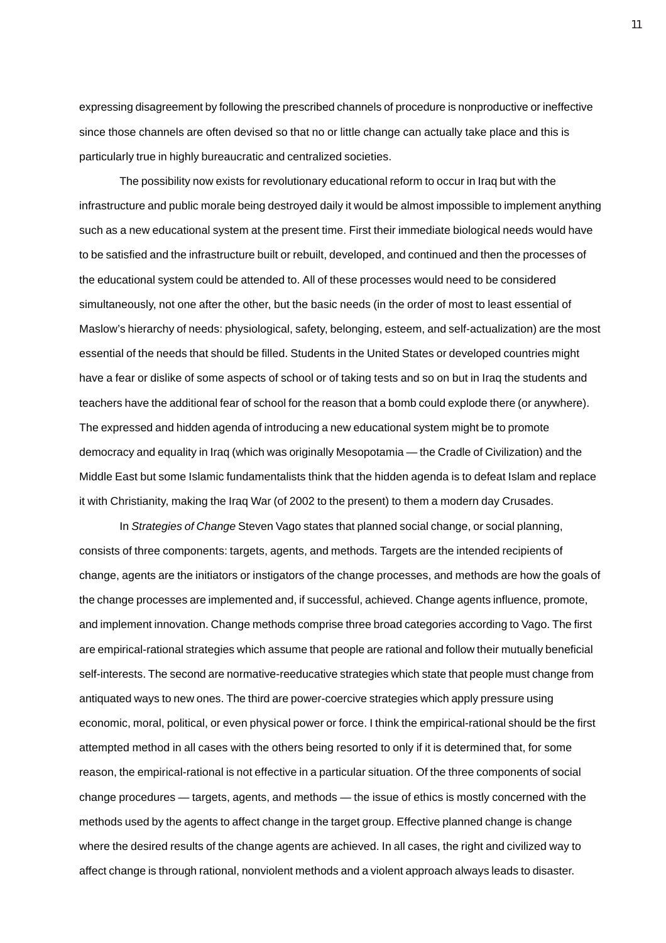expressing disagreement by following the prescribed channels of procedure is nonproductive or ineffective since those channels are often devised so that no or little change can actually take place and this is particularly true in highly bureaucratic and centralized societies.

The possibility now exists for revolutionary educational reform to occur in Iraq but with the infrastructure and public morale being destroyed daily it would be almost impossible to implement anything such as a new educational system at the present time. First their immediate biological needs would have to be satisfied and the infrastructure built or rebuilt, developed, and continued and then the processes of the educational system could be attended to. All of these processes would need to be considered simultaneously, not one after the other, but the basic needs (in the order of most to least essential of Maslow's hierarchy of needs: physiological, safety, belonging, esteem, and self-actualization) are the most essential of the needs that should be filled. Students in the United States or developed countries might have a fear or dislike of some aspects of school or of taking tests and so on but in Iraq the students and teachers have the additional fear of school for the reason that a bomb could explode there (or anywhere). The expressed and hidden agenda of introducing a new educational system might be to promote democracy and equality in Iraq (which was originally Mesopotamia — the Cradle of Civilization) and the Middle East but some Islamic fundamentalists think that the hidden agenda is to defeat Islam and replace it with Christianity, making the Iraq War (of 2002 to the present) to them a modern day Crusades.

In *Strategies of Change* Steven Vago states that planned social change, or social planning, consists of three components: targets, agents, and methods. Targets are the intended recipients of change, agents are the initiators or instigators of the change processes, and methods are how the goals of the change processes are implemented and, if successful, achieved. Change agents influence, promote, and implement innovation. Change methods comprise three broad categories according to Vago. The first are empirical-rational strategies which assume that people are rational and follow their mutually beneficial self-interests. The second are normative-reeducative strategies which state that people must change from antiquated ways to new ones. The third are power-coercive strategies which apply pressure using economic, moral, political, or even physical power or force. I think the empirical-rational should be the first attempted method in all cases with the others being resorted to only if it is determined that, for some reason, the empirical-rational is not effective in a particular situation. Of the three components of social change procedures — targets, agents, and methods — the issue of ethics is mostly concerned with the methods used by the agents to affect change in the target group. Effective planned change is change where the desired results of the change agents are achieved. In all cases, the right and civilized way to affect change is through rational, nonviolent methods and a violent approach always leads to disaster.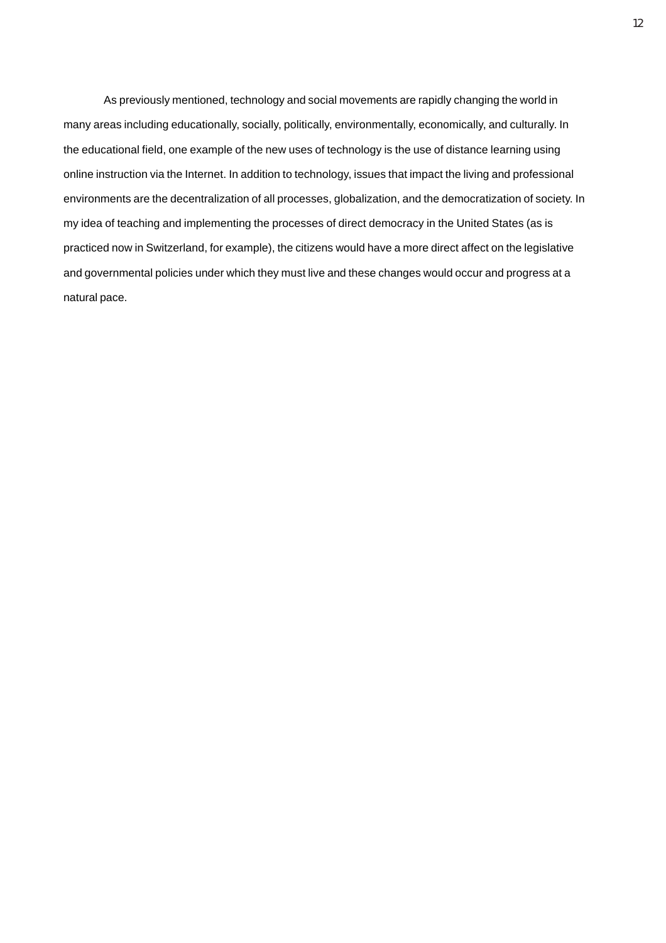As previously mentioned, technology and social movements are rapidly changing the world in many areas including educationally, socially, politically, environmentally, economically, and culturally. In the educational field, one example of the new uses of technology is the use of distance learning using online instruction via the Internet. In addition to technology, issues that impact the living and professional environments are the decentralization of all processes, globalization, and the democratization of society. In my idea of teaching and implementing the processes of direct democracy in the United States (as is practiced now in Switzerland, for example), the citizens would have a more direct affect on the legislative and governmental policies under which they must live and these changes would occur and progress at a natural pace.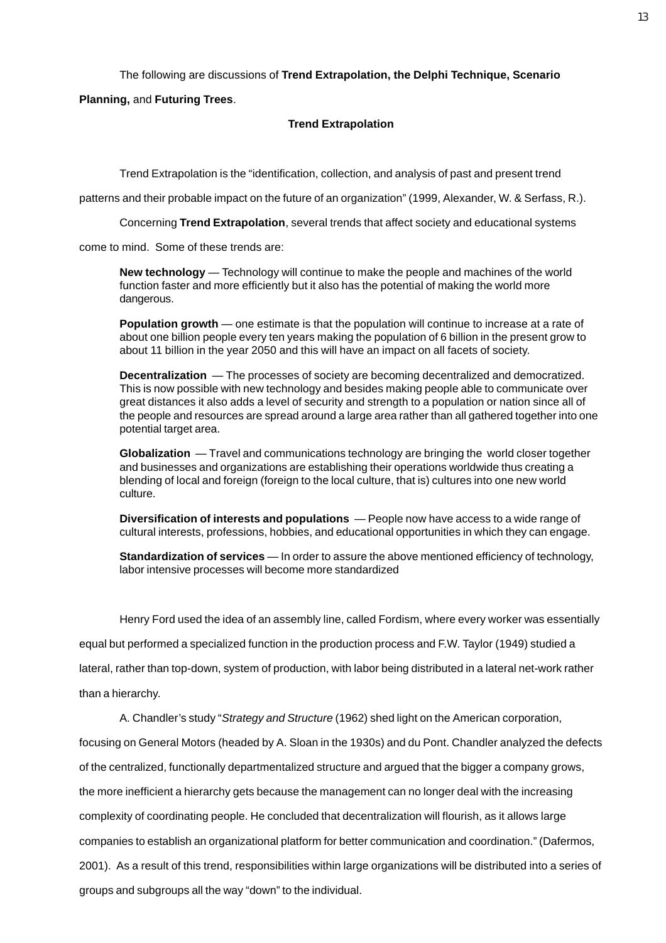The following are discussions of **Trend Extrapolation, the Delphi Technique, Scenario**

# **Planning,** and **Futuring Trees**.

# **Trend Extrapolation**

Trend Extrapolation is the "identification, collection, and analysis of past and present trend

patterns and their probable impact on the future of an organization" (1999, Alexander, W. & Serfass, R.).

Concerning **Trend Extrapolation**, several trends that affect society and educational systems

come to mind. Some of these trends are:

**New technology** — Technology will continue to make the people and machines of the world function faster and more efficiently but it also has the potential of making the world more dangerous.

**Population growth** — one estimate is that the population will continue to increase at a rate of about one billion people every ten years making the population of 6 billion in the present grow to about 11 billion in the year 2050 and this will have an impact on all facets of society.

**Decentralization** — The processes of society are becoming decentralized and democratized. This is now possible with new technology and besides making people able to communicate over great distances it also adds a level of security and strength to a population or nation since all of the people and resources are spread around a large area rather than all gathered together into one potential target area.

**Globalization** — Travel and communications technology are bringing the world closer together and businesses and organizations are establishing their operations worldwide thus creating a blending of local and foreign (foreign to the local culture, that is) cultures into one new world culture.

**Diversification of interests and populations** — People now have access to a wide range of cultural interests, professions, hobbies, and educational opportunities in which they can engage.

**Standardization of services** — In order to assure the above mentioned efficiency of technology, labor intensive processes will become more standardized

Henry Ford used the idea of an assembly line, called Fordism, where every worker was essentially

equal but performed a specialized function in the production process and F.W. Taylor (1949) studied a

lateral, rather than top-down, system of production, with labor being distributed in a lateral net-work rather than a hierarchy.

A. Chandler's study "*Strategy and Structure* (1962) shed light on the American corporation, focusing on General Motors (headed by A. Sloan in the 1930s) and du Pont. Chandler analyzed the defects of the centralized, functionally departmentalized structure and argued that the bigger a company grows, the more inefficient a hierarchy gets because the management can no longer deal with the increasing complexity of coordinating people. He concluded that decentralization will flourish, as it allows large companies to establish an organizational platform for better communication and coordination." (Dafermos, 2001). As a result of this trend, responsibilities within large organizations will be distributed into a series of groups and subgroups all the way "down" to the individual.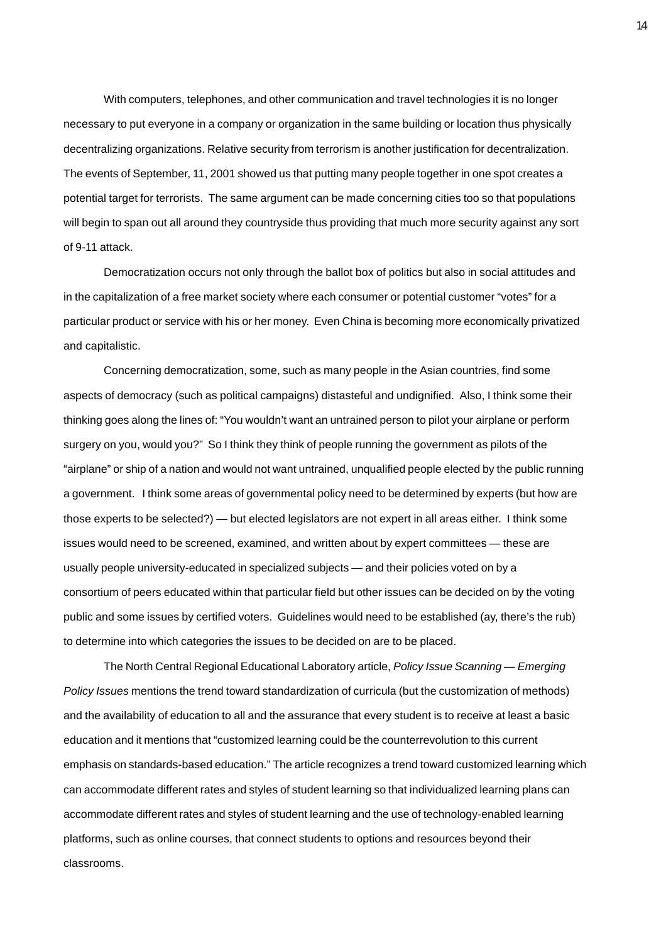With computers, telephones, and other communication and travel technologies it is no longer necessary to put everyone in a company or organization in the same building or location thus physically decentralizing organizations. Relative security from terrorism is another justification for decentralization. The events of September, 11, 2001 showed us that putting many people together in one spot creates a potential target for terrorists. The same argument can be made concerning cities too so that populations will begin to span out all around they countryside thus providing that much more security against any sort of 9-11 attack.

Democratization occurs not only through the ballot box of politics but also in social attitudes and in the capitalization of a free market society where each consumer or potential customer "votes" for a particular product or service with his or her money. Even China is becoming more economically privatized and capitalistic.

Concerning democratization, some, such as many people in the Asian countries, find some aspects of democracy (such as political campaigns) distasteful and undignified. Also, I think some their thinking goes along the lines of: "You wouldn't want an untrained person to pilot your airplane or perform surgery on you, would you?" So I think they think of people running the government as pilots of the "airplane" or ship of a nation and would not want untrained, unqualified people elected by the public running a government. I think some areas of governmental policy need to be determined by experts (but how are those experts to be selected?) — but elected legislators are not expert in all areas either. I think some issues would need to be screened, examined, and written about by expert committees — these are usually people university-educated in specialized subjects — and their policies voted on by a consortium of peers educated within that particular field but other issues can be decided on by the voting public and some issues by certified voters. Guidelines would need to be established (ay, there's the rub) to determine into which categories the issues to be decided on are to be placed.

The North Central Regional Educational Laboratory article, *Policy Issue Scanning — Emerging Policy Issues* mentions the trend toward standardization of curricula (but the customization of methods) and the availability of education to all and the assurance that every student is to receive at least a basic education and it mentions that "customized learning could be the counterrevolution to this current emphasis on standards-based education." The article recognizes a trend toward customized learning which can accommodate different rates and styles of student learning so that individualized learning plans can accommodate different rates and styles of student learning and the use of technology-enabled learning platforms, such as online courses, that connect students to options and resources beyond their classrooms.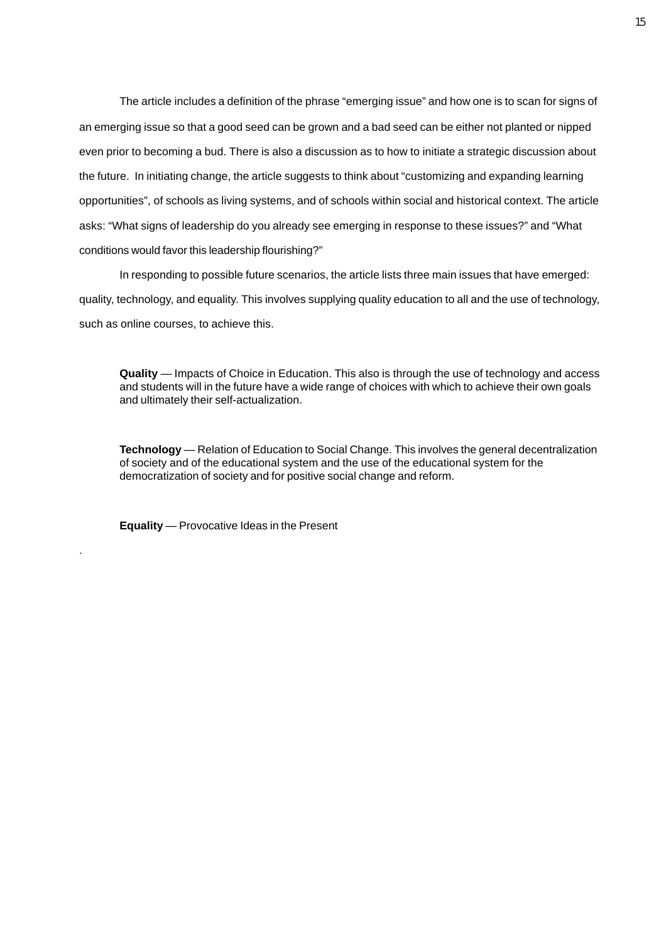The article includes a definition of the phrase "emerging issue" and how one is to scan for signs of an emerging issue so that a good seed can be grown and a bad seed can be either not planted or nipped even prior to becoming a bud. There is also a discussion as to how to initiate a strategic discussion about the future. In initiating change, the article suggests to think about "customizing and expanding learning opportunities", of schools as living systems, and of schools within social and historical context. The article asks: "What signs of leadership do you already see emerging in response to these issues?" and "What conditions would favor this leadership flourishing?"

In responding to possible future scenarios, the article lists three main issues that have emerged: quality, technology, and equality. This involves supplying quality education to all and the use of technology, such as online courses, to achieve this.

**Quality** — Impacts of Choice in Education. This also is through the use of technology and access and students will in the future have a wide range of choices with which to achieve their own goals and ultimately their self-actualization.

**Technology** — Relation of Education to Social Change. This involves the general decentralization of society and of the educational system and the use of the educational system for the democratization of society and for positive social change and reform.

**Equality** — Provocative Ideas in the Present

.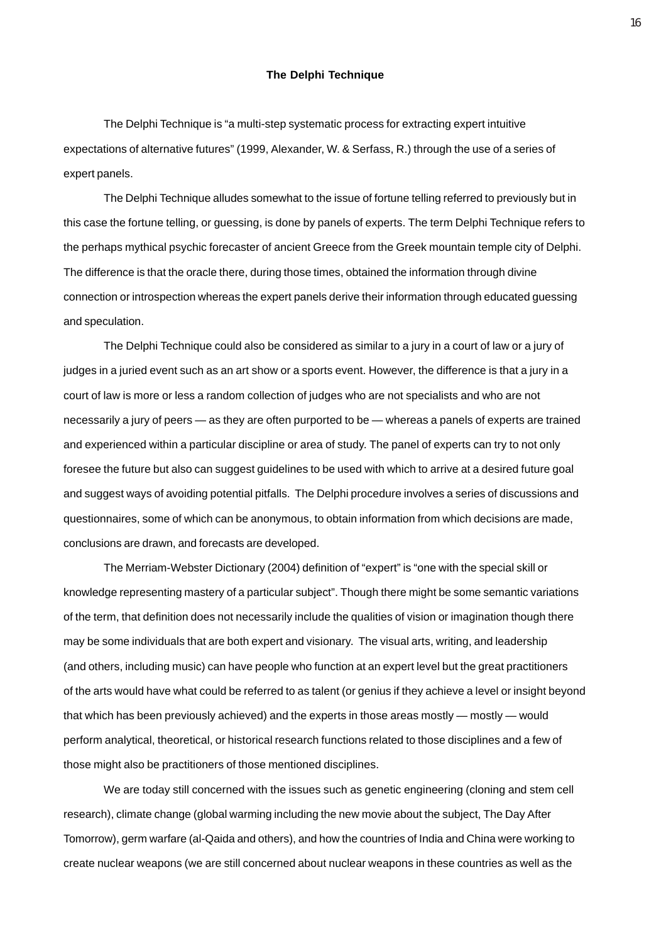## **The Delphi Technique**

The Delphi Technique is "a multi-step systematic process for extracting expert intuitive expectations of alternative futures" (1999, Alexander, W. & Serfass, R.) through the use of a series of expert panels.

The Delphi Technique alludes somewhat to the issue of fortune telling referred to previously but in this case the fortune telling, or guessing, is done by panels of experts. The term Delphi Technique refers to the perhaps mythical psychic forecaster of ancient Greece from the Greek mountain temple city of Delphi. The difference is that the oracle there, during those times, obtained the information through divine connection or introspection whereas the expert panels derive their information through educated guessing and speculation.

The Delphi Technique could also be considered as similar to a jury in a court of law or a jury of judges in a juried event such as an art show or a sports event. However, the difference is that a jury in a court of law is more or less a random collection of judges who are not specialists and who are not necessarily a jury of peers — as they are often purported to be — whereas a panels of experts are trained and experienced within a particular discipline or area of study. The panel of experts can try to not only foresee the future but also can suggest guidelines to be used with which to arrive at a desired future goal and suggest ways of avoiding potential pitfalls. The Delphi procedure involves a series of discussions and questionnaires, some of which can be anonymous, to obtain information from which decisions are made, conclusions are drawn, and forecasts are developed.

The Merriam-Webster Dictionary (2004) definition of "expert" is "one with the special skill or knowledge representing mastery of a particular subject". Though there might be some semantic variations of the term, that definition does not necessarily include the qualities of vision or imagination though there may be some individuals that are both expert and visionary. The visual arts, writing, and leadership (and others, including music) can have people who function at an expert level but the great practitioners of the arts would have what could be referred to as talent (or genius if they achieve a level or insight beyond that which has been previously achieved) and the experts in those areas mostly — mostly — would perform analytical, theoretical, or historical research functions related to those disciplines and a few of those might also be practitioners of those mentioned disciplines.

We are today still concerned with the issues such as genetic engineering (cloning and stem cell research), climate change (global warming including the new movie about the subject, The Day After Tomorrow), germ warfare (al-Qaida and others), and how the countries of India and China were working to create nuclear weapons (we are still concerned about nuclear weapons in these countries as well as the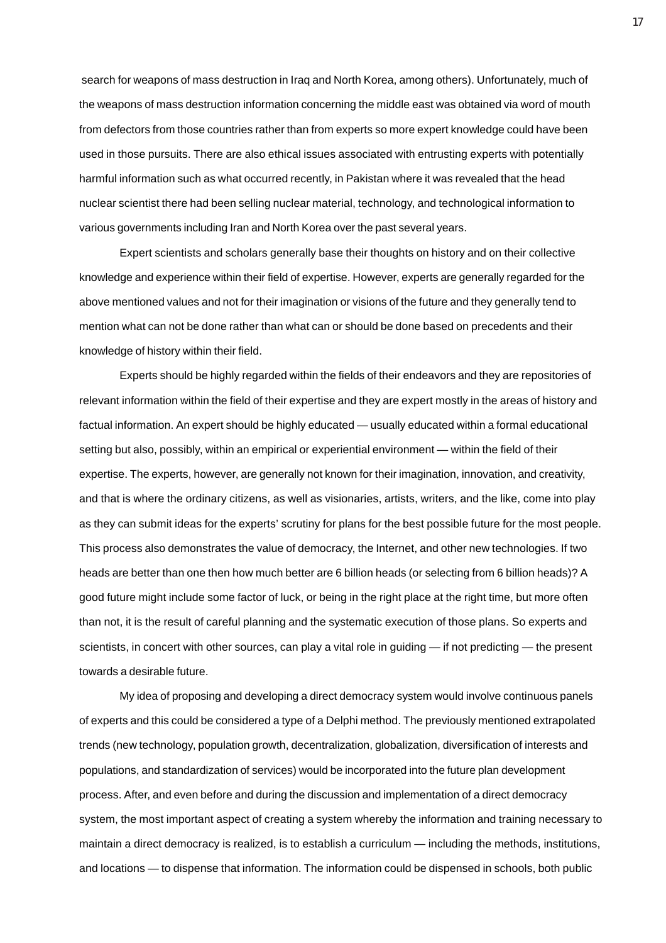search for weapons of mass destruction in Iraq and North Korea, among others). Unfortunately, much of the weapons of mass destruction information concerning the middle east was obtained via word of mouth from defectors from those countries rather than from experts so more expert knowledge could have been used in those pursuits. There are also ethical issues associated with entrusting experts with potentially harmful information such as what occurred recently, in Pakistan where it was revealed that the head nuclear scientist there had been selling nuclear material, technology, and technological information to various governments including Iran and North Korea over the past several years.

Expert scientists and scholars generally base their thoughts on history and on their collective knowledge and experience within their field of expertise. However, experts are generally regarded for the above mentioned values and not for their imagination or visions of the future and they generally tend to mention what can not be done rather than what can or should be done based on precedents and their knowledge of history within their field.

Experts should be highly regarded within the fields of their endeavors and they are repositories of relevant information within the field of their expertise and they are expert mostly in the areas of history and factual information. An expert should be highly educated — usually educated within a formal educational setting but also, possibly, within an empirical or experiential environment — within the field of their expertise. The experts, however, are generally not known for their imagination, innovation, and creativity, and that is where the ordinary citizens, as well as visionaries, artists, writers, and the like, come into play as they can submit ideas for the experts' scrutiny for plans for the best possible future for the most people. This process also demonstrates the value of democracy, the Internet, and other new technologies. If two heads are better than one then how much better are 6 billion heads (or selecting from 6 billion heads)? A good future might include some factor of luck, or being in the right place at the right time, but more often than not, it is the result of careful planning and the systematic execution of those plans. So experts and scientists, in concert with other sources, can play a vital role in guiding — if not predicting — the present towards a desirable future.

My idea of proposing and developing a direct democracy system would involve continuous panels of experts and this could be considered a type of a Delphi method. The previously mentioned extrapolated trends (new technology, population growth, decentralization, globalization, diversification of interests and populations, and standardization of services) would be incorporated into the future plan development process. After, and even before and during the discussion and implementation of a direct democracy system, the most important aspect of creating a system whereby the information and training necessary to maintain a direct democracy is realized, is to establish a curriculum — including the methods, institutions, and locations — to dispense that information. The information could be dispensed in schools, both public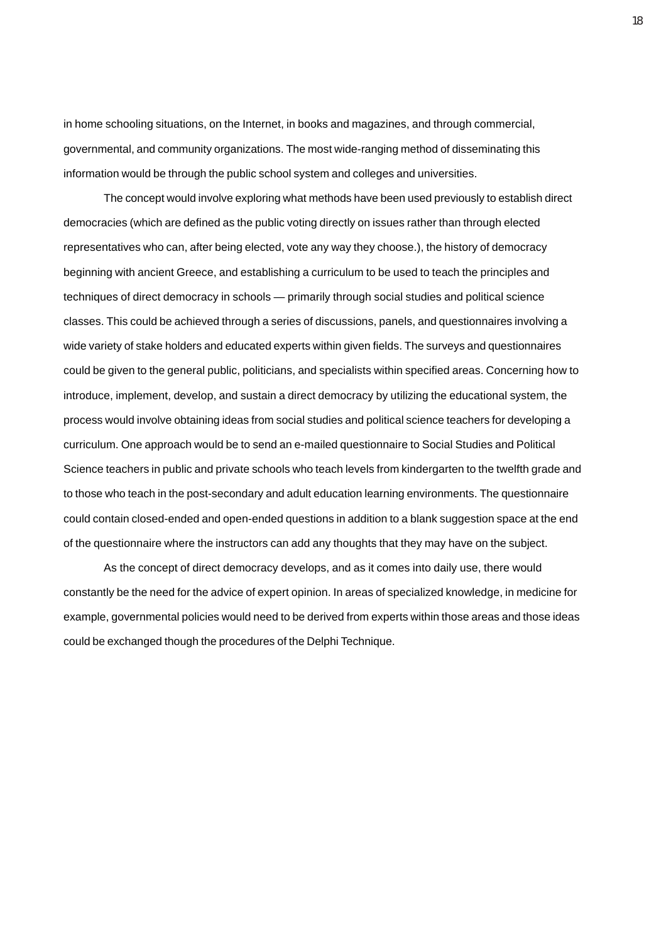in home schooling situations, on the Internet, in books and magazines, and through commercial, governmental, and community organizations. The most wide-ranging method of disseminating this information would be through the public school system and colleges and universities.

The concept would involve exploring what methods have been used previously to establish direct democracies (which are defined as the public voting directly on issues rather than through elected representatives who can, after being elected, vote any way they choose.), the history of democracy beginning with ancient Greece, and establishing a curriculum to be used to teach the principles and techniques of direct democracy in schools — primarily through social studies and political science classes. This could be achieved through a series of discussions, panels, and questionnaires involving a wide variety of stake holders and educated experts within given fields. The surveys and questionnaires could be given to the general public, politicians, and specialists within specified areas. Concerning how to introduce, implement, develop, and sustain a direct democracy by utilizing the educational system, the process would involve obtaining ideas from social studies and political science teachers for developing a curriculum. One approach would be to send an e-mailed questionnaire to Social Studies and Political Science teachers in public and private schools who teach levels from kindergarten to the twelfth grade and to those who teach in the post-secondary and adult education learning environments. The questionnaire could contain closed-ended and open-ended questions in addition to a blank suggestion space at the end of the questionnaire where the instructors can add any thoughts that they may have on the subject.

As the concept of direct democracy develops, and as it comes into daily use, there would constantly be the need for the advice of expert opinion. In areas of specialized knowledge, in medicine for example, governmental policies would need to be derived from experts within those areas and those ideas could be exchanged though the procedures of the Delphi Technique.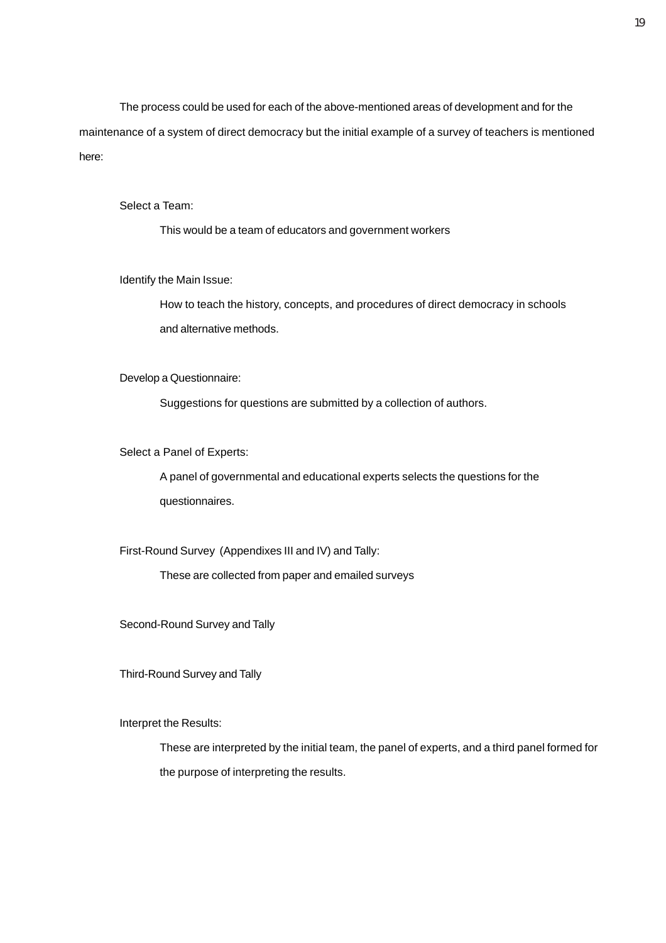The process could be used for each of the above-mentioned areas of development and for the maintenance of a system of direct democracy but the initial example of a survey of teachers is mentioned here:

Select a Team:

This would be a team of educators and government workers

Identify the Main Issue:

How to teach the history, concepts, and procedures of direct democracy in schools and alternative methods.

Develop a Questionnaire:

Suggestions for questions are submitted by a collection of authors.

Select a Panel of Experts:

A panel of governmental and educational experts selects the questions for the questionnaires.

First-Round Survey (Appendixes III and IV) and Tally:

These are collected from paper and emailed surveys

Second-Round Survey and Tally

Third-Round Survey and Tally

Interpret the Results:

These are interpreted by the initial team, the panel of experts, and a third panel formed for the purpose of interpreting the results.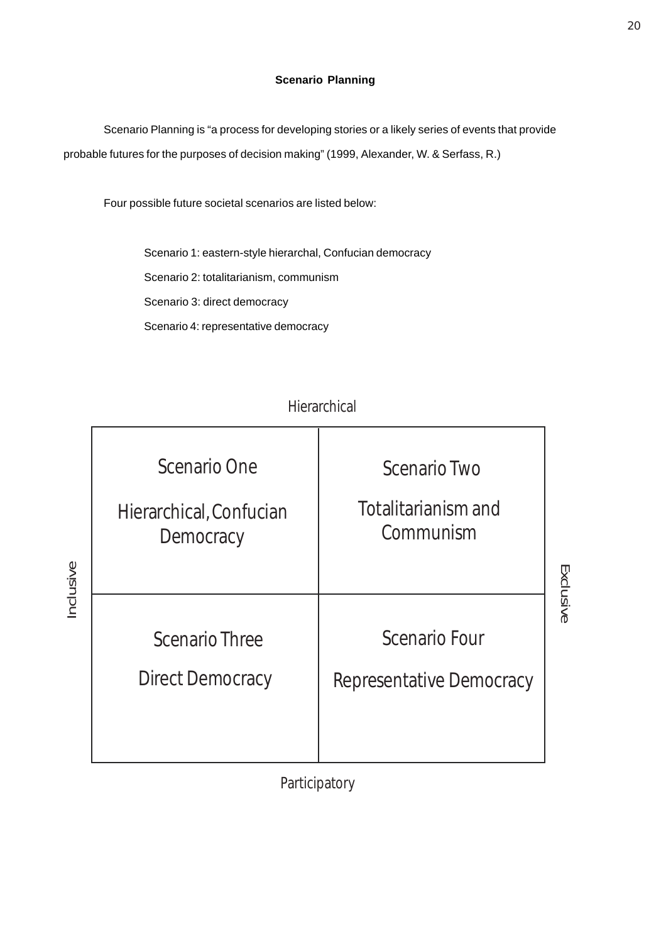# **Scenario Planning**

Scenario Planning is "a process for developing stories or a likely series of events that provide probable futures for the purposes of decision making" (1999, Alexander, W. & Serfass, R.)

Four possible future societal scenarios are listed below:

Scenario 1: eastern-style hierarchal, Confucian democracy

Scenario 2: totalitarianism, communism

Scenario 3: direct democracy

Scenario 4: representative democracy



# **Hierarchical**

Participatory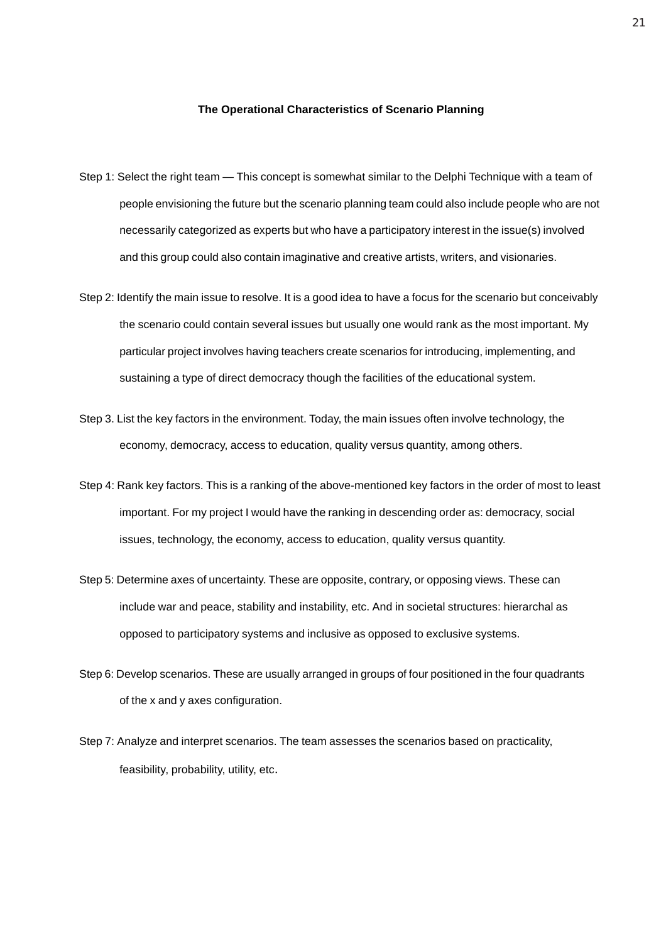#### **The Operational Characteristics of Scenario Planning**

- Step 1: Select the right team This concept is somewhat similar to the Delphi Technique with a team of people envisioning the future but the scenario planning team could also include people who are not necessarily categorized as experts but who have a participatory interest in the issue(s) involved and this group could also contain imaginative and creative artists, writers, and visionaries.
- Step 2: Identify the main issue to resolve. It is a good idea to have a focus for the scenario but conceivably the scenario could contain several issues but usually one would rank as the most important. My particular project involves having teachers create scenarios for introducing, implementing, and sustaining a type of direct democracy though the facilities of the educational system.
- Step 3. List the key factors in the environment. Today, the main issues often involve technology, the economy, democracy, access to education, quality versus quantity, among others.
- Step 4: Rank key factors. This is a ranking of the above-mentioned key factors in the order of most to least important. For my project I would have the ranking in descending order as: democracy, social issues, technology, the economy, access to education, quality versus quantity.
- Step 5: Determine axes of uncertainty. These are opposite, contrary, or opposing views. These can include war and peace, stability and instability, etc. And in societal structures: hierarchal as opposed to participatory systems and inclusive as opposed to exclusive systems.
- Step 6: Develop scenarios. These are usually arranged in groups of four positioned in the four quadrants of the x and y axes configuration.
- Step 7: Analyze and interpret scenarios. The team assesses the scenarios based on practicality, feasibility, probability, utility, etc.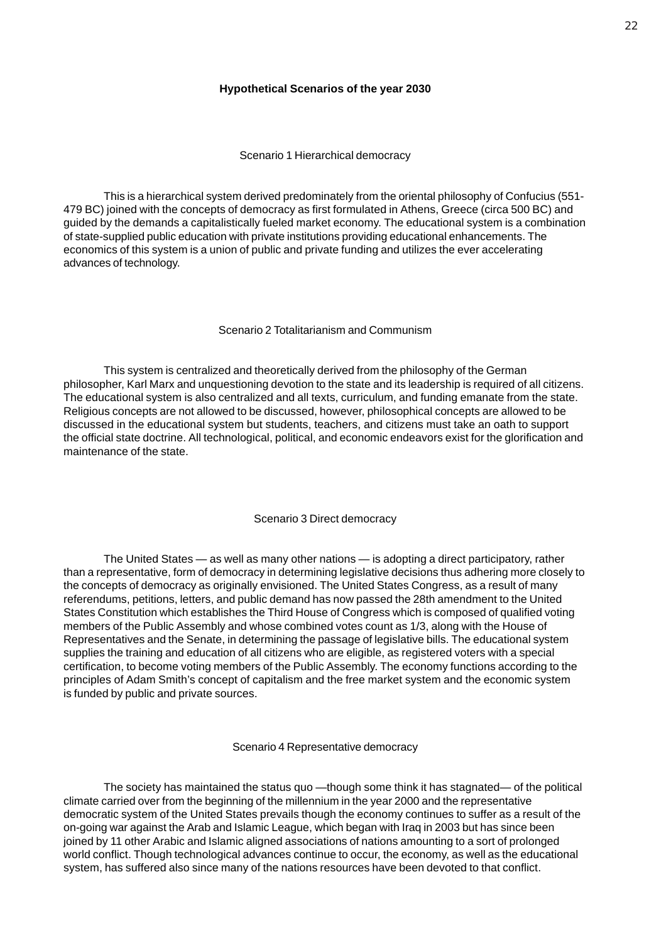## **Hypothetical Scenarios of the year 2030**

#### Scenario 1 Hierarchical democracy

This is a hierarchical system derived predominately from the oriental philosophy of Confucius (551- 479 BC) joined with the concepts of democracy as first formulated in Athens, Greece (circa 500 BC) and guided by the demands a capitalistically fueled market economy. The educational system is a combination of state-supplied public education with private institutions providing educational enhancements. The economics of this system is a union of public and private funding and utilizes the ever accelerating advances of technology.

#### Scenario 2 Totalitarianism and Communism

This system is centralized and theoretically derived from the philosophy of the German philosopher, Karl Marx and unquestioning devotion to the state and its leadership is required of all citizens. The educational system is also centralized and all texts, curriculum, and funding emanate from the state. Religious concepts are not allowed to be discussed, however, philosophical concepts are allowed to be discussed in the educational system but students, teachers, and citizens must take an oath to support the official state doctrine. All technological, political, and economic endeavors exist for the glorification and maintenance of the state.

#### Scenario 3 Direct democracy

The United States — as well as many other nations — is adopting a direct participatory, rather than a representative, form of democracy in determining legislative decisions thus adhering more closely to the concepts of democracy as originally envisioned. The United States Congress, as a result of many referendums, petitions, letters, and public demand has now passed the 28th amendment to the United States Constitution which establishes the Third House of Congress which is composed of qualified voting members of the Public Assembly and whose combined votes count as 1/3, along with the House of Representatives and the Senate, in determining the passage of legislative bills. The educational system supplies the training and education of all citizens who are eligible, as registered voters with a special certification, to become voting members of the Public Assembly. The economy functions according to the principles of Adam Smith's concept of capitalism and the free market system and the economic system is funded by public and private sources.

Scenario 4 Representative democracy

The society has maintained the status quo —though some think it has stagnated— of the political climate carried over from the beginning of the millennium in the year 2000 and the representative democratic system of the United States prevails though the economy continues to suffer as a result of the on-going war against the Arab and Islamic League, which began with Iraq in 2003 but has since been joined by 11 other Arabic and Islamic aligned associations of nations amounting to a sort of prolonged world conflict. Though technological advances continue to occur, the economy, as well as the educational system, has suffered also since many of the nations resources have been devoted to that conflict.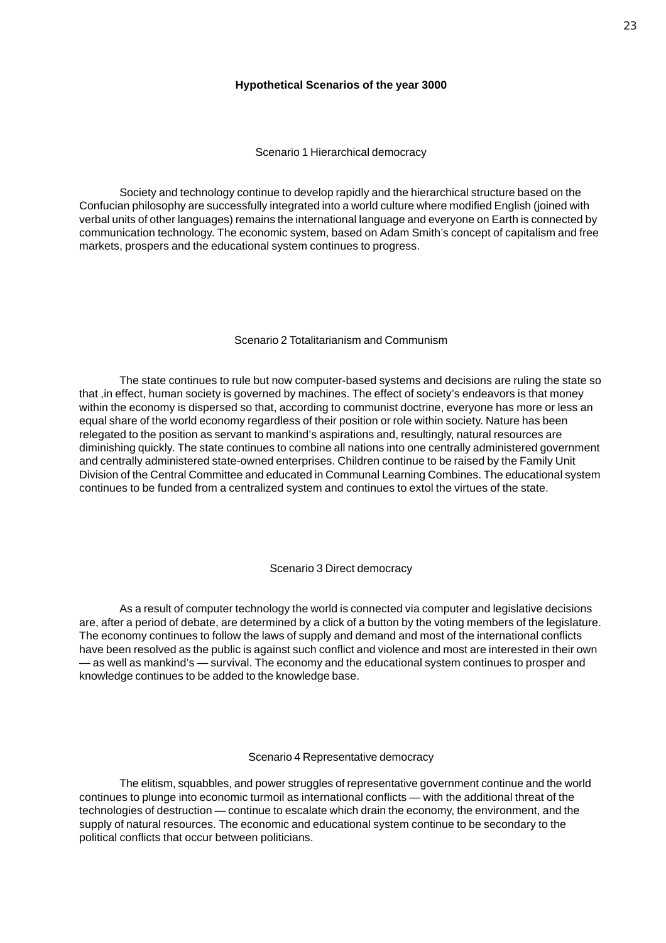## **Hypothetical Scenarios of the year 3000**

Scenario 1 Hierarchical democracy

Society and technology continue to develop rapidly and the hierarchical structure based on the Confucian philosophy are successfully integrated into a world culture where modified English (joined with verbal units of other languages) remains the international language and everyone on Earth is connected by communication technology. The economic system, based on Adam Smith's concept of capitalism and free markets, prospers and the educational system continues to progress.

## Scenario 2 Totalitarianism and Communism

The state continues to rule but now computer-based systems and decisions are ruling the state so that ,in effect, human society is governed by machines. The effect of society's endeavors is that money within the economy is dispersed so that, according to communist doctrine, everyone has more or less an equal share of the world economy regardless of their position or role within society. Nature has been relegated to the position as servant to mankind's aspirations and, resultingly, natural resources are diminishing quickly. The state continues to combine all nations into one centrally administered government and centrally administered state-owned enterprises. Children continue to be raised by the Family Unit Division of the Central Committee and educated in Communal Learning Combines. The educational system continues to be funded from a centralized system and continues to extol the virtues of the state.

## Scenario 3 Direct democracy

As a result of computer technology the world is connected via computer and legislative decisions are, after a period of debate, are determined by a click of a button by the voting members of the legislature. The economy continues to follow the laws of supply and demand and most of the international conflicts have been resolved as the public is against such conflict and violence and most are interested in their own — as well as mankind's — survival. The economy and the educational system continues to prosper and knowledge continues to be added to the knowledge base.

## Scenario 4 Representative democracy

The elitism, squabbles, and power struggles of representative government continue and the world continues to plunge into economic turmoil as international conflicts — with the additional threat of the technologies of destruction — continue to escalate which drain the economy, the environment, and the supply of natural resources. The economic and educational system continue to be secondary to the political conflicts that occur between politicians.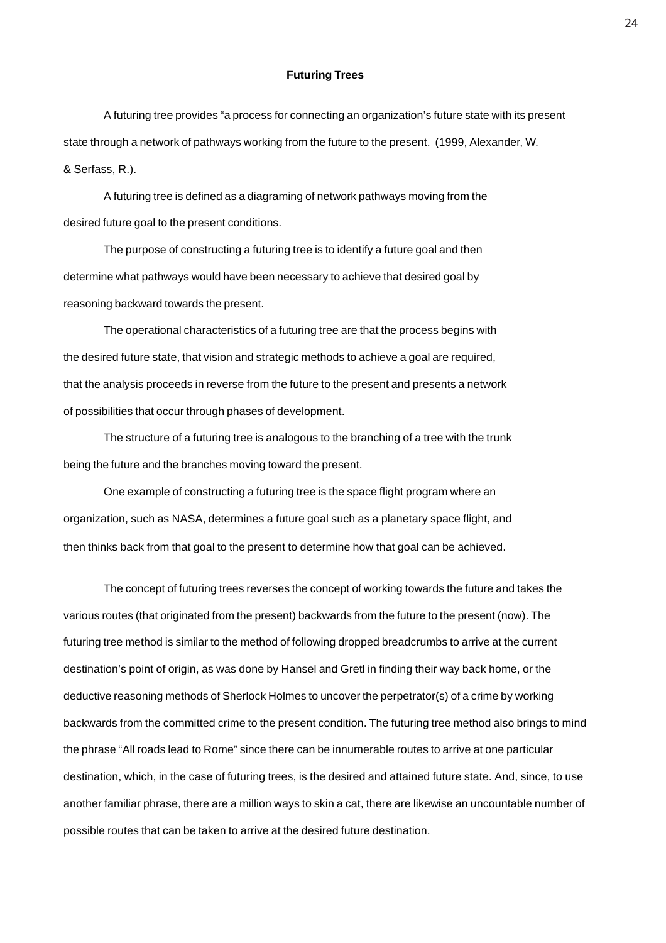#### **Futuring Trees**

A futuring tree provides "a process for connecting an organization's future state with its present state through a network of pathways working from the future to the present. (1999, Alexander, W. & Serfass, R.).

A futuring tree is defined as a diagraming of network pathways moving from the desired future goal to the present conditions.

The purpose of constructing a futuring tree is to identify a future goal and then determine what pathways would have been necessary to achieve that desired goal by reasoning backward towards the present.

The operational characteristics of a futuring tree are that the process begins with the desired future state, that vision and strategic methods to achieve a goal are required, that the analysis proceeds in reverse from the future to the present and presents a network of possibilities that occur through phases of development.

The structure of a futuring tree is analogous to the branching of a tree with the trunk being the future and the branches moving toward the present.

One example of constructing a futuring tree is the space flight program where an organization, such as NASA, determines a future goal such as a planetary space flight, and then thinks back from that goal to the present to determine how that goal can be achieved.

The concept of futuring trees reverses the concept of working towards the future and takes the various routes (that originated from the present) backwards from the future to the present (now). The futuring tree method is similar to the method of following dropped breadcrumbs to arrive at the current destination's point of origin, as was done by Hansel and Gretl in finding their way back home, or the deductive reasoning methods of Sherlock Holmes to uncover the perpetrator(s) of a crime by working backwards from the committed crime to the present condition. The futuring tree method also brings to mind the phrase "All roads lead to Rome" since there can be innumerable routes to arrive at one particular destination, which, in the case of futuring trees, is the desired and attained future state. And, since, to use another familiar phrase, there are a million ways to skin a cat, there are likewise an uncountable number of possible routes that can be taken to arrive at the desired future destination.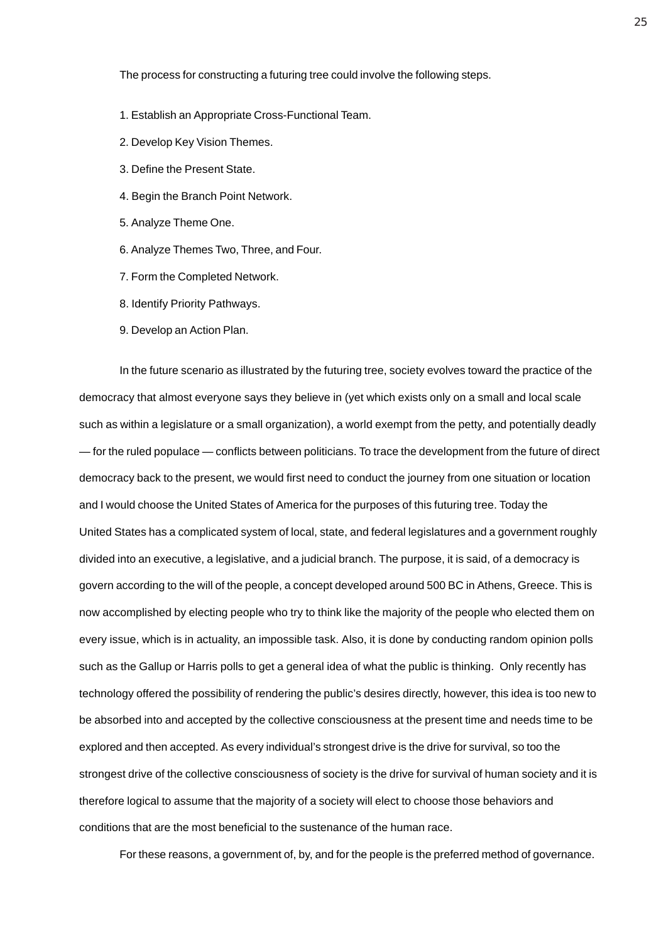The process for constructing a futuring tree could involve the following steps.

- 1. Establish an Appropriate Cross-Functional Team.
- 2. Develop Key Vision Themes.
- 3. Define the Present State.
- 4. Begin the Branch Point Network.
- 5. Analyze Theme One.
- 6. Analyze Themes Two, Three, and Four.
- 7. Form the Completed Network.
- 8. Identify Priority Pathways.
- 9. Develop an Action Plan.

In the future scenario as illustrated by the futuring tree, society evolves toward the practice of the democracy that almost everyone says they believe in (yet which exists only on a small and local scale such as within a legislature or a small organization), a world exempt from the petty, and potentially deadly — for the ruled populace — conflicts between politicians. To trace the development from the future of direct democracy back to the present, we would first need to conduct the journey from one situation or location and I would choose the United States of America for the purposes of this futuring tree. Today the United States has a complicated system of local, state, and federal legislatures and a government roughly divided into an executive, a legislative, and a judicial branch. The purpose, it is said, of a democracy is govern according to the will of the people, a concept developed around 500 BC in Athens, Greece. This is now accomplished by electing people who try to think like the majority of the people who elected them on every issue, which is in actuality, an impossible task. Also, it is done by conducting random opinion polls such as the Gallup or Harris polls to get a general idea of what the public is thinking. Only recently has technology offered the possibility of rendering the public's desires directly, however, this idea is too new to be absorbed into and accepted by the collective consciousness at the present time and needs time to be explored and then accepted. As every individual's strongest drive is the drive for survival, so too the strongest drive of the collective consciousness of society is the drive for survival of human society and it is therefore logical to assume that the majority of a society will elect to choose those behaviors and conditions that are the most beneficial to the sustenance of the human race.

For these reasons, a government of, by, and for the people is the preferred method of governance.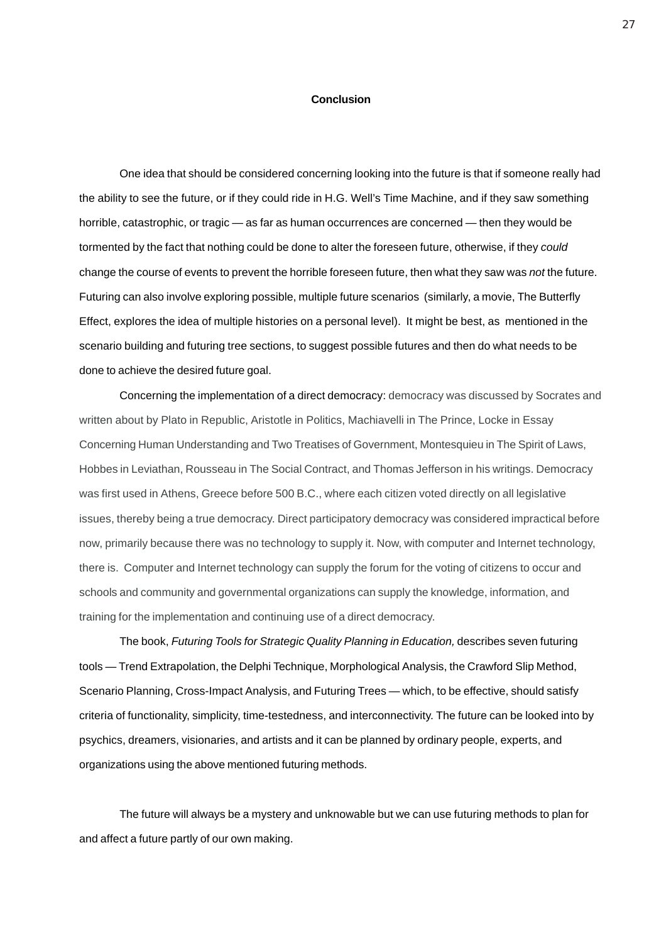#### **Conclusion**

One idea that should be considered concerning looking into the future is that if someone really had the ability to see the future, or if they could ride in H.G. Well's Time Machine, and if they saw something horrible, catastrophic, or tragic — as far as human occurrences are concerned — then they would be tormented by the fact that nothing could be done to alter the foreseen future, otherwise, if they *could* change the course of events to prevent the horrible foreseen future, then what they saw was *not* the future. Futuring can also involve exploring possible, multiple future scenarios (similarly, a movie, The Butterfly Effect, explores the idea of multiple histories on a personal level). It might be best, as mentioned in the scenario building and futuring tree sections, to suggest possible futures and then do what needs to be done to achieve the desired future goal.

Concerning the implementation of a direct democracy: democracy was discussed by Socrates and written about by Plato in Republic, Aristotle in Politics, Machiavelli in The Prince, Locke in Essay Concerning Human Understanding and Two Treatises of Government, Montesquieu in The Spirit of Laws, Hobbes in Leviathan, Rousseau in The Social Contract, and Thomas Jefferson in his writings. Democracy was first used in Athens, Greece before 500 B.C., where each citizen voted directly on all legislative issues, thereby being a true democracy. Direct participatory democracy was considered impractical before now, primarily because there was no technology to supply it. Now, with computer and Internet technology, there is. Computer and Internet technology can supply the forum for the voting of citizens to occur and schools and community and governmental organizations can supply the knowledge, information, and training for the implementation and continuing use of a direct democracy.

The book, *Futuring Tools for Strategic Quality Planning in Education,* describes seven futuring tools — Trend Extrapolation, the Delphi Technique, Morphological Analysis, the Crawford Slip Method, Scenario Planning, Cross-Impact Analysis, and Futuring Trees — which, to be effective, should satisfy criteria of functionality, simplicity, time-testedness, and interconnectivity. The future can be looked into by psychics, dreamers, visionaries, and artists and it can be planned by ordinary people, experts, and organizations using the above mentioned futuring methods.

The future will always be a mystery and unknowable but we can use futuring methods to plan for and affect a future partly of our own making.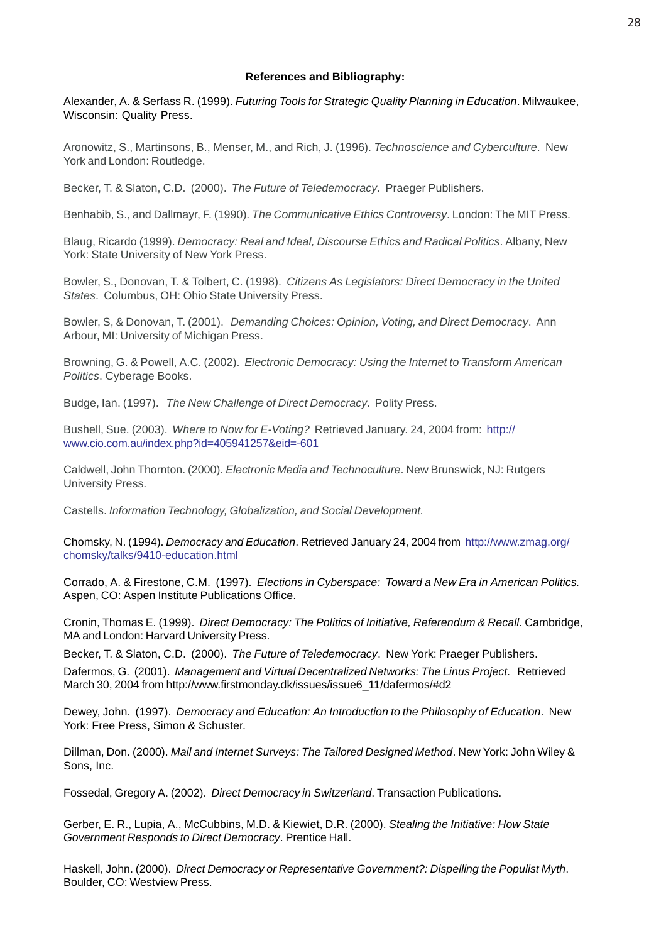## **References and Bibliography:**

Alexander, A. & Serfass R. (1999). *Futuring Tools for Strategic Quality Planning in Education*. Milwaukee, Wisconsin: Quality Press.

Aronowitz, S., Martinsons, B., Menser, M., and Rich, J. (1996). *Technoscience and Cyberculture*. New York and London: Routledge.

Becker, T. & Slaton, C.D. (2000). *The Future of Teledemocracy*. Praeger Publishers.

Benhabib, S., and Dallmayr, F. (1990). *The Communicative Ethics Controversy*. London: The MIT Press.

Blaug, Ricardo (1999). *Democracy: Real and Ideal, Discourse Ethics and Radical Politics*. Albany, New York: State University of New York Press.

Bowler, S., Donovan, T. & Tolbert, C. (1998). *Citizens As Legislators: Direct Democracy in the United States*. Columbus, OH: Ohio State University Press.

Bowler, S, & Donovan, T. (2001). *Demanding Choices: Opinion, Voting, and Direct Democracy*. Ann Arbour, MI: University of Michigan Press.

Browning, G. & Powell, A.C. (2002). *Electronic Democracy: Using the Internet to Transform American Politics*. Cyberage Books.

Budge, Ian. (1997). *The New Challenge of Direct Democracy*. Polity Press.

Bushell, Sue. (2003). *Where to Now for E-Voting?* Retrieved January. 24, 2004 from: http:// www.cio.com.au/index.php?id=405941257&eid=-601

Caldwell, John Thornton. (2000). *Electronic Media and Technoculture*. New Brunswick, NJ: Rutgers University Press.

Castells. *Information Technology, Globalization, and Social Development.*

Chomsky, N. (1994). *Democracy and Education*. Retrieved January 24, 2004 from http://www.zmag.org/ chomsky/talks/9410-education.html

Corrado, A. & Firestone, C.M. (1997). *Elections in Cyberspace: Toward a New Era in American Politics.* Aspen, CO: Aspen Institute Publications Office.

Cronin, Thomas E. (1999). *Direct Democracy: The Politics of Initiative, Referendum & Recall*. Cambridge, MA and London: Harvard University Press.

Becker, T. & Slaton, C.D. (2000). *The Future of Teledemocracy*. New York: Praeger Publishers.

Dafermos, G. (2001). *Management and Virtual Decentralized Networks: The Linus Project*. Retrieved March 30, 2004 from http://www.firstmonday.dk/issues/issue6\_11/dafermos/#d2

Dewey, John. (1997). *Democracy and Education: An Introduction to the Philosophy of Education*. New York: Free Press, Simon & Schuster.

Dillman, Don. (2000). *Mail and Internet Surveys: The Tailored Designed Method*. New York: John Wiley & Sons, Inc.

Fossedal, Gregory A. (2002). *Direct Democracy in Switzerland*. Transaction Publications.

Gerber, E. R., Lupia, A., McCubbins, M.D. & Kiewiet, D.R. (2000). *Stealing the Initiative: How State Government Responds to Direct Democracy*. Prentice Hall.

Haskell, John. (2000). *Direct Democracy or Representative Government?: Dispelling the Populist Myth*. Boulder, CO: Westview Press.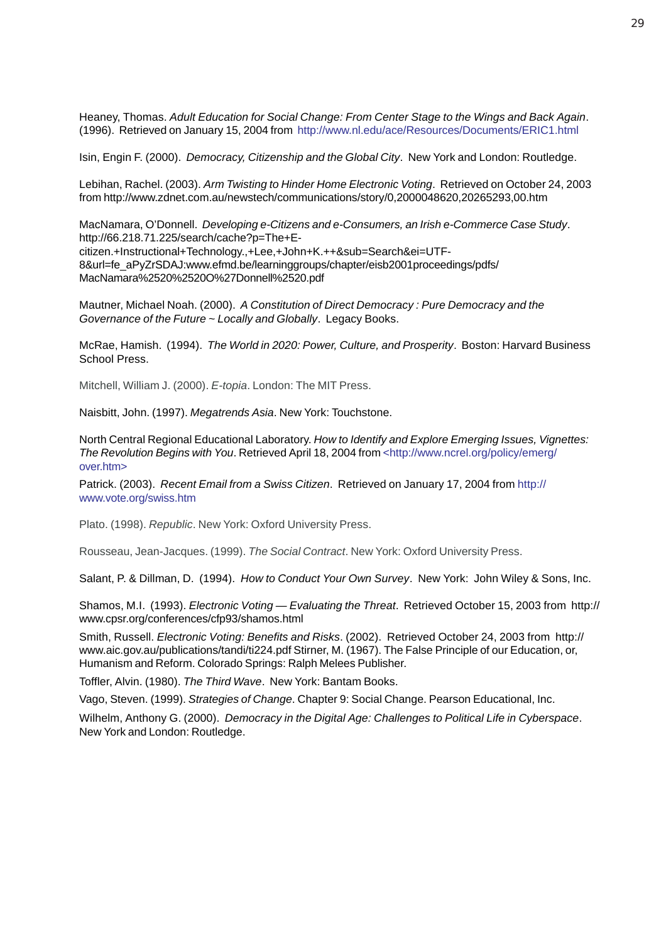Heaney, Thomas. *Adult Education for Social Change: From Center Stage to the Wings and Back Again*. (1996). Retrieved on January 15, 2004 from http://www.nl.edu/ace/Resources/Documents/ERIC1.html

Isin, Engin F. (2000). *Democracy, Citizenship and the Global City*. New York and London: Routledge.

Lebihan, Rachel. (2003). *Arm Twisting to Hinder Home Electronic Voting*. Retrieved on October 24, 2003 from http://www.zdnet.com.au/newstech/communications/story/0,2000048620,20265293,00.htm

MacNamara, O'Donnell. *Developing e-Citizens and e-Consumers, an Irish e-Commerce Case Study*. http://66.218.71.225/search/cache?p=The+Ecitizen.+Instructional+Technology.,+Lee,+John+K.++&sub=Search&ei=UTF-8&url=fe\_aPyZrSDAJ:www.efmd.be/learninggroups/chapter/eisb2001proceedings/pdfs/ MacNamara%2520%2520O%27Donnell%2520.pdf

Mautner, Michael Noah. (2000). *A Constitution of Direct Democracy : Pure Democracy and the Governance of the Future ~ Locally and Globally*. Legacy Books.

McRae, Hamish. (1994). *The World in 2020: Power, Culture, and Prosperity*. Boston: Harvard Business School Press.

Mitchell, William J. (2000). *E-topia*. London: The MIT Press.

Naisbitt, John. (1997). *Megatrends Asia*. New York: Touchstone.

North Central Regional Educational Laboratory. *How to Identify and Explore Emerging Issues, Vignettes: The Revolution Begins with You. Retrieved April 18, 2004 from <http://www.ncrel.org/policy/emerg/* over.htm>

Patrick. (2003). *Recent Email from a Swiss Citizen*. Retrieved on January 17, 2004 from http:// www.vote.org/swiss.htm

Plato. (1998). *Republic*. New York: Oxford University Press.

Rousseau, Jean-Jacques. (1999). *The Social Contract*. New York: Oxford University Press.

Salant, P. & Dillman, D. (1994). *How to Conduct Your Own Survey*. New York: John Wiley & Sons, Inc.

Shamos, M.I. (1993). *Electronic Voting — Evaluating the Threat*. Retrieved October 15, 2003 from http:// www.cpsr.org/conferences/cfp93/shamos.html

Smith, Russell. *Electronic Voting: Benefits and Risks*. (2002). Retrieved October 24, 2003 from http:// www.aic.gov.au/publications/tandi/ti224.pdf Stirner, M. (1967). The False Principle of our Education, or, Humanism and Reform. Colorado Springs: Ralph Melees Publisher.

Toffler, Alvin. (1980). *The Third Wave*. New York: Bantam Books.

Vago, Steven. (1999). *Strategies of Change*. Chapter 9: Social Change. Pearson Educational, Inc.

Wilhelm, Anthony G. (2000). *Democracy in the Digital Age: Challenges to Political Life in Cyberspace*. New York and London: Routledge.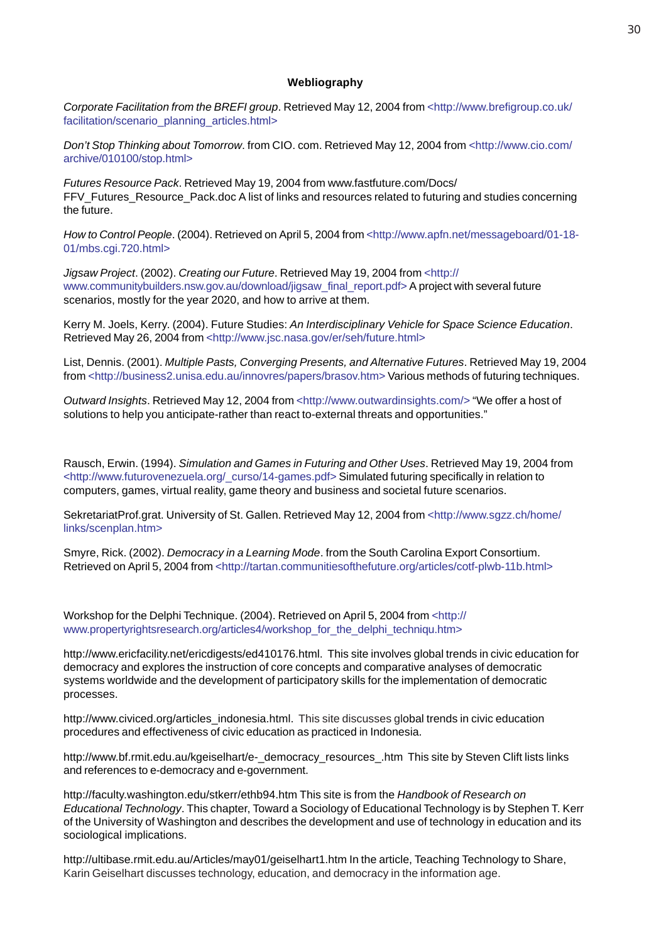# **Webliography**

*Corporate Facilitation from the BREFI group*. Retrieved May 12, 2004 from <http://www.brefigroup.co.uk/ facilitation/scenario\_planning\_articles.html>

*Don't Stop Thinking about Tomorrow*. from CIO. com. Retrieved May 12, 2004 from <http://www.cio.com/ archive/010100/stop.html>

*Futures Resource Pack*. Retrieved May 19, 2004 from www.fastfuture.com/Docs/ FFV\_Futures\_Resource\_Pack.doc A list of links and resources related to futuring and studies concerning the future.

*How to Control People*. (2004). Retrieved on April 5, 2004 from <http://www.apfn.net/messageboard/01-18- 01/mbs.cgi.720.html>

*Jigsaw Project*. (2002). *Creating our Future*. Retrieved May 19, 2004 from <http:// www.communitybuilders.nsw.gov.au/download/jigsaw\_final\_report.pdf> A project with several future scenarios, mostly for the year 2020, and how to arrive at them.

Kerry M. Joels, Kerry. (2004). Future Studies: *An Interdisciplinary Vehicle for Space Science Education*. Retrieved May 26, 2004 from <http://www.jsc.nasa.gov/er/seh/future.html>

List, Dennis. (2001). *Multiple Pasts, Converging Presents, and Alternative Futures*. Retrieved May 19, 2004 from <http://business2.unisa.edu.au/innovres/papers/brasov.htm> Various methods of futuring techniques.

*Outward Insights*. Retrieved May 12, 2004 from <http://www.outwardinsights.com/> "We offer a host of solutions to help you anticipate-rather than react to-external threats and opportunities."

Rausch, Erwin. (1994). *Simulation and Games in Futuring and Other Uses*. Retrieved May 19, 2004 from <http://www.futurovenezuela.org/\_curso/14-games.pdf> Simulated futuring specifically in relation to computers, games, virtual reality, game theory and business and societal future scenarios.

SekretariatProf.grat. University of St. Gallen. Retrieved May 12, 2004 from <http://www.sgzz.ch/home/ links/scenplan.htm>

Smyre, Rick. (2002). *Democracy in a Learning Mode*. from the South Carolina Export Consortium. Retrieved on April 5, 2004 from <http://tartan.communitiesofthefuture.org/articles/cotf-plwb-11b.html>

Workshop for the Delphi Technique. (2004). Retrieved on April 5, 2004 from <http:// www.propertyrightsresearch.org/articles4/workshop\_for\_the\_delphi\_techniqu.htm>

http://www.ericfacility.net/ericdigests/ed410176.html. This site involves global trends in civic education for democracy and explores the instruction of core concepts and comparative analyses of democratic systems worldwide and the development of participatory skills for the implementation of democratic processes.

http://www.civiced.org/articles\_indonesia.html. This site discusses global trends in civic education procedures and effectiveness of civic education as practiced in Indonesia.

http://www.bf.rmit.edu.au/kgeiselhart/e-\_democracy\_resources\_.htm This site by Steven Clift lists links and references to e-democracy and e-government.

http://faculty.washington.edu/stkerr/ethb94.htm This site is from the *Handbook of Research on Educational Technology*. This chapter, Toward a Sociology of Educational Technology is by Stephen T. Kerr of the University of Washington and describes the development and use of technology in education and its sociological implications.

http://ultibase.rmit.edu.au/Articles/may01/geiselhart1.htm In the article, Teaching Technology to Share, Karin Geiselhart discusses technology, education, and democracy in the information age.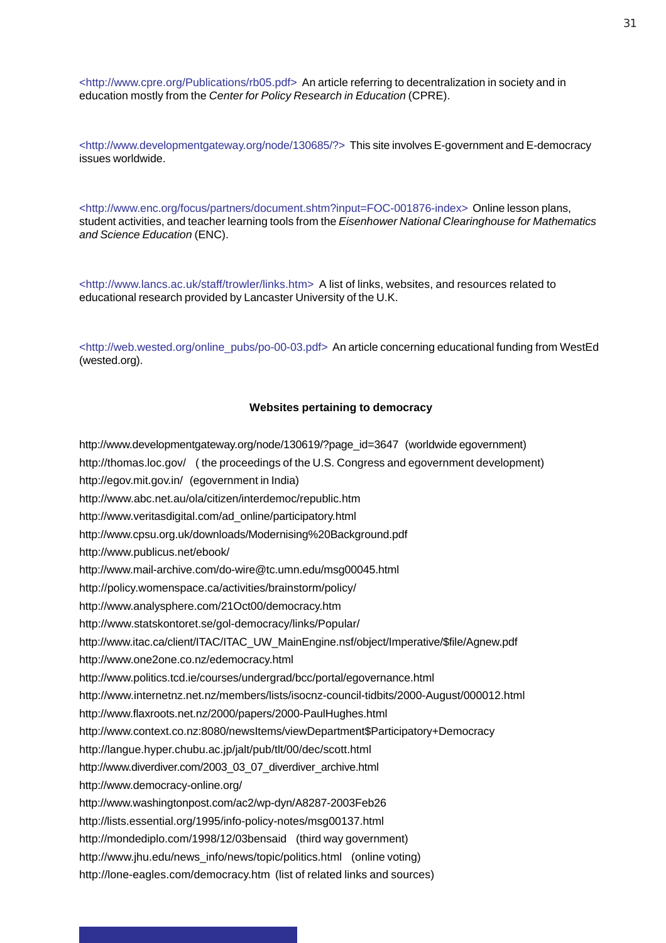<http://www.cpre.org/Publications/rb05.pdf> An article referring to decentralization in society and in education mostly from the *Center for Policy Research in Education* (CPRE).

<http://www.developmentgateway.org/node/130685/?> This site involves E-government and E-democracy issues worldwide.

<http://www.enc.org/focus/partners/document.shtm?input=FOC-001876-index> Online lesson plans, student activities, and teacher learning tools from the *Eisenhower National Clearinghouse for Mathematics and Science Education* (ENC).

<http://www.lancs.ac.uk/staff/trowler/links.htm> A list of links, websites, and resources related to educational research provided by Lancaster University of the U.K.

<http://web.wested.org/online\_pubs/po-00-03.pdf> An article concerning educational funding from WestEd (wested.org).

### **Websites pertaining to democracy**

http://www.developmentgateway.org/node/130619/?page\_id=3647 (worldwide egovernment) http://thomas.loc.gov/ ( the proceedings of the U.S. Congress and egovernment development) http://egov.mit.gov.in/ (egovernment in India) http://www.abc.net.au/ola/citizen/interdemoc/republic.htm http://www.veritasdigital.com/ad\_online/participatory.html http://www.cpsu.org.uk/downloads/Modernising%20Background.pdf http://www.publicus.net/ebook/ http://www.mail-archive.com/do-wire@tc.umn.edu/msg00045.html http://policy.womenspace.ca/activities/brainstorm/policy/ http://www.analysphere.com/21Oct00/democracy.htm http://www.statskontoret.se/gol-democracy/links/Popular/ http://www.itac.ca/client/ITAC/ITAC\_UW\_MainEngine.nsf/object/Imperative/\$file/Agnew.pdf http://www.one2one.co.nz/edemocracy.html http://www.politics.tcd.ie/courses/undergrad/bcc/portal/egovernance.html http://www.internetnz.net.nz/members/lists/isocnz-council-tidbits/2000-August/000012.html http://www.flaxroots.net.nz/2000/papers/2000-PaulHughes.html http://www.context.co.nz:8080/newsItems/viewDepartment\$Participatory+Democracy http://langue.hyper.chubu.ac.jp/jalt/pub/tlt/00/dec/scott.html http://www.diverdiver.com/2003\_03\_07\_diverdiver\_archive.html http://www.democracy-online.org/ http://www.washingtonpost.com/ac2/wp-dyn/A8287-2003Feb26 http://lists.essential.org/1995/info-policy-notes/msg00137.html http://mondediplo.com/1998/12/03bensaid (third way government) http://www.jhu.edu/news\_info/news/topic/politics.html (online voting) http://lone-eagles.com/democracy.htm (list of related links and sources)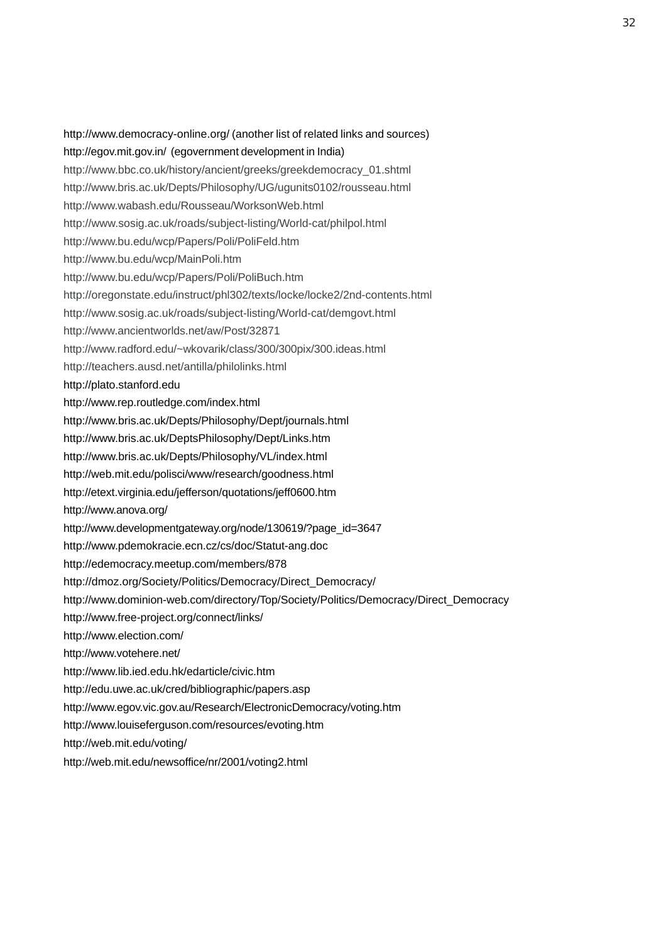http://www.democracy-online.org/ (another list of related links and sources) http://egov.mit.gov.in/ (egovernment development in India) http://www.bbc.co.uk/history/ancient/greeks/greekdemocracy\_01.shtml http://www.bris.ac.uk/Depts/Philosophy/UG/ugunits0102/rousseau.html http://www.wabash.edu/Rousseau/WorksonWeb.html http://www.sosig.ac.uk/roads/subject-listing/World-cat/philpol.html http://www.bu.edu/wcp/Papers/Poli/PoliFeld.htm http://www.bu.edu/wcp/MainPoli.htm http://www.bu.edu/wcp/Papers/Poli/PoliBuch.htm http://oregonstate.edu/instruct/phl302/texts/locke/locke2/2nd-contents.html http://www.sosig.ac.uk/roads/subject-listing/World-cat/demgovt.html http://www.ancientworlds.net/aw/Post/32871 http://www.radford.edu/~wkovarik/class/300/300pix/300.ideas.html http://teachers.ausd.net/antilla/philolinks.html http://plato.stanford.edu http://www.rep.routledge.com/index.html http://www.bris.ac.uk/Depts/Philosophy/Dept/journals.html http://www.bris.ac.uk/DeptsPhilosophy/Dept/Links.htm http://www.bris.ac.uk/Depts/Philosophy/VL/index.html http://web.mit.edu/polisci/www/research/goodness.html http://etext.virginia.edu/jefferson/quotations/jeff0600.htm http://www.anova.org/ http://www.developmentgateway.org/node/130619/?page\_id=3647 http://www.pdemokracie.ecn.cz/cs/doc/Statut-ang.doc http://edemocracy.meetup.com/members/878 http://dmoz.org/Society/Politics/Democracy/Direct\_Democracy/ http://www.dominion-web.com/directory/Top/Society/Politics/Democracy/Direct\_Democracy http://www.free-project.org/connect/links/ http://www.election.com/ http://www.votehere.net/ http://www.lib.ied.edu.hk/edarticle/civic.htm http://edu.uwe.ac.uk/cred/bibliographic/papers.asp http://www.egov.vic.gov.au/Research/ElectronicDemocracy/voting.htm http://www.louiseferguson.com/resources/evoting.htm http://web.mit.edu/voting/ http://web.mit.edu/newsoffice/nr/2001/voting2.html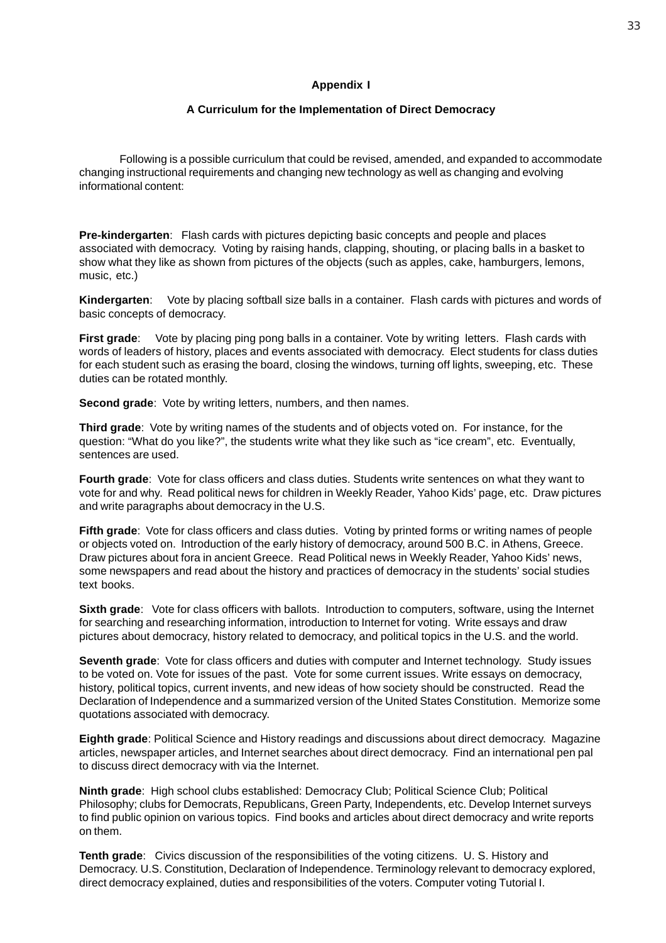## **Appendix I**

# **A Curriculum for the Implementation of Direct Democracy**

Following is a possible curriculum that could be revised, amended, and expanded to accommodate changing instructional requirements and changing new technology as well as changing and evolving informational content:

**Pre-kindergarten**: Flash cards with pictures depicting basic concepts and people and places associated with democracy. Voting by raising hands, clapping, shouting, or placing balls in a basket to show what they like as shown from pictures of the objects (such as apples, cake, hamburgers, lemons, music, etc.)

**Kindergarten**: Vote by placing softball size balls in a container. Flash cards with pictures and words of basic concepts of democracy.

**First grade**: Vote by placing ping pong balls in a container. Vote by writing letters. Flash cards with words of leaders of history, places and events associated with democracy. Elect students for class duties for each student such as erasing the board, closing the windows, turning off lights, sweeping, etc. These duties can be rotated monthly.

**Second grade**: Vote by writing letters, numbers, and then names.

**Third grade**: Vote by writing names of the students and of objects voted on. For instance, for the question: "What do you like?", the students write what they like such as "ice cream", etc. Eventually, sentences are used.

**Fourth grade**: Vote for class officers and class duties. Students write sentences on what they want to vote for and why. Read political news for children in Weekly Reader, Yahoo Kids' page, etc. Draw pictures and write paragraphs about democracy in the U.S.

**Fifth grade**: Vote for class officers and class duties. Voting by printed forms or writing names of people or objects voted on. Introduction of the early history of democracy, around 500 B.C. in Athens, Greece. Draw pictures about fora in ancient Greece. Read Political news in Weekly Reader, Yahoo Kids' news, some newspapers and read about the history and practices of democracy in the students' social studies text books.

**Sixth grade**: Vote for class officers with ballots. Introduction to computers, software, using the Internet for searching and researching information, introduction to Internet for voting. Write essays and draw pictures about democracy, history related to democracy, and political topics in the U.S. and the world.

**Seventh grade**: Vote for class officers and duties with computer and Internet technology. Study issues to be voted on. Vote for issues of the past. Vote for some current issues. Write essays on democracy, history, political topics, current invents, and new ideas of how society should be constructed. Read the Declaration of Independence and a summarized version of the United States Constitution. Memorize some quotations associated with democracy.

**Eighth grade**: Political Science and History readings and discussions about direct democracy. Magazine articles, newspaper articles, and Internet searches about direct democracy. Find an international pen pal to discuss direct democracy with via the Internet.

**Ninth grade**: High school clubs established: Democracy Club; Political Science Club; Political Philosophy; clubs for Democrats, Republicans, Green Party, Independents, etc. Develop Internet surveys to find public opinion on various topics. Find books and articles about direct democracy and write reports on them.

**Tenth grade**: Civics discussion of the responsibilities of the voting citizens. U. S. History and Democracy. U.S. Constitution, Declaration of Independence. Terminology relevant to democracy explored, direct democracy explained, duties and responsibilities of the voters. Computer voting Tutorial I.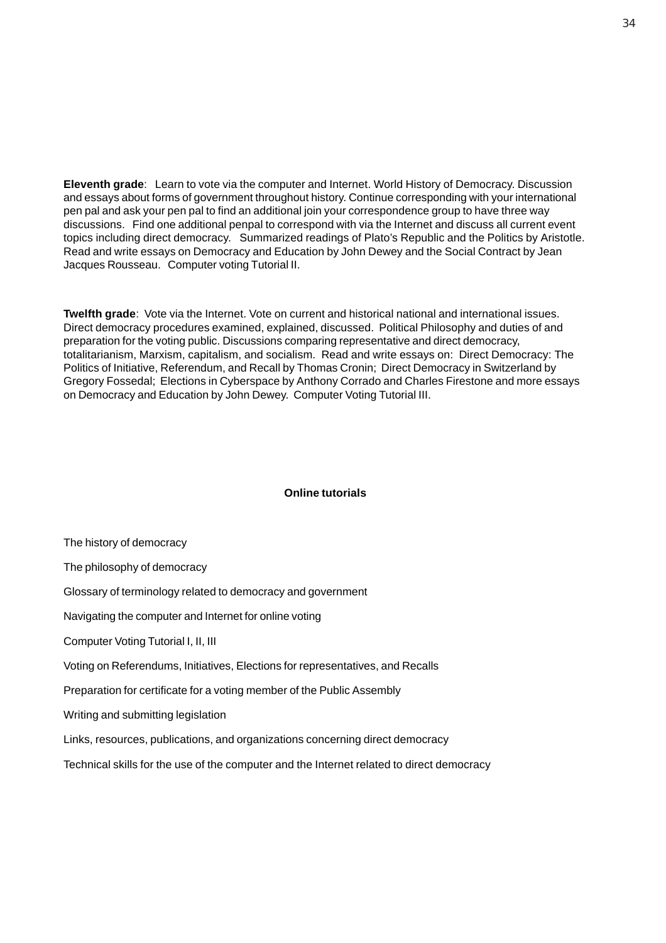**Eleventh grade**: Learn to vote via the computer and Internet. World History of Democracy. Discussion and essays about forms of government throughout history. Continue corresponding with your international pen pal and ask your pen pal to find an additional join your correspondence group to have three way discussions. Find one additional penpal to correspond with via the Internet and discuss all current event topics including direct democracy. Summarized readings of Plato's Republic and the Politics by Aristotle. Read and write essays on Democracy and Education by John Dewey and the Social Contract by Jean Jacques Rousseau. Computer voting Tutorial II.

**Twelfth grade**: Vote via the Internet. Vote on current and historical national and international issues. Direct democracy procedures examined, explained, discussed. Political Philosophy and duties of and preparation for the voting public. Discussions comparing representative and direct democracy, totalitarianism, Marxism, capitalism, and socialism. Read and write essays on: Direct Democracy: The Politics of Initiative, Referendum, and Recall by Thomas Cronin; Direct Democracy in Switzerland by Gregory Fossedal; Elections in Cyberspace by Anthony Corrado and Charles Firestone and more essays on Democracy and Education by John Dewey. Computer Voting Tutorial III.

## **Online tutorials**

The history of democracy

The philosophy of democracy

Glossary of terminology related to democracy and government

Navigating the computer and Internet for online voting

Computer Voting Tutorial I, II, III

Voting on Referendums, Initiatives, Elections for representatives, and Recalls

Preparation for certificate for a voting member of the Public Assembly

Writing and submitting legislation

Links, resources, publications, and organizations concerning direct democracy

Technical skills for the use of the computer and the Internet related to direct democracy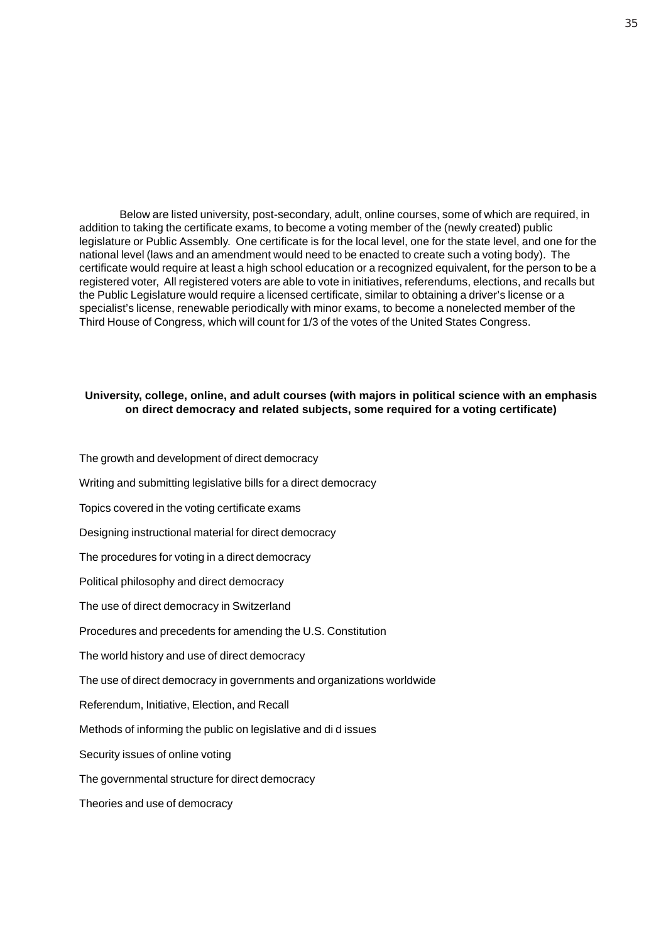Below are listed university, post-secondary, adult, online courses, some of which are required, in addition to taking the certificate exams, to become a voting member of the (newly created) public legislature or Public Assembly. One certificate is for the local level, one for the state level, and one for the national level (laws and an amendment would need to be enacted to create such a voting body). The certificate would require at least a high school education or a recognized equivalent, for the person to be a registered voter, All registered voters are able to vote in initiatives, referendums, elections, and recalls but the Public Legislature would require a licensed certificate, similar to obtaining a driver's license or a specialist's license, renewable periodically with minor exams, to become a nonelected member of the Third House of Congress, which will count for 1/3 of the votes of the United States Congress.

## **University, college, online, and adult courses (with majors in political science with an emphasis on direct democracy and related subjects, some required for a voting certificate)**

The growth and development of direct democracy

Writing and submitting legislative bills for a direct democracy

Topics covered in the voting certificate exams

Designing instructional material for direct democracy

The procedures for voting in a direct democracy

Political philosophy and direct democracy

The use of direct democracy in Switzerland

Procedures and precedents for amending the U.S. Constitution

The world history and use of direct democracy

The use of direct democracy in governments and organizations worldwide

Referendum, Initiative, Election, and Recall

Methods of informing the public on legislative and di d issues

Security issues of online voting

The governmental structure for direct democracy

Theories and use of democracy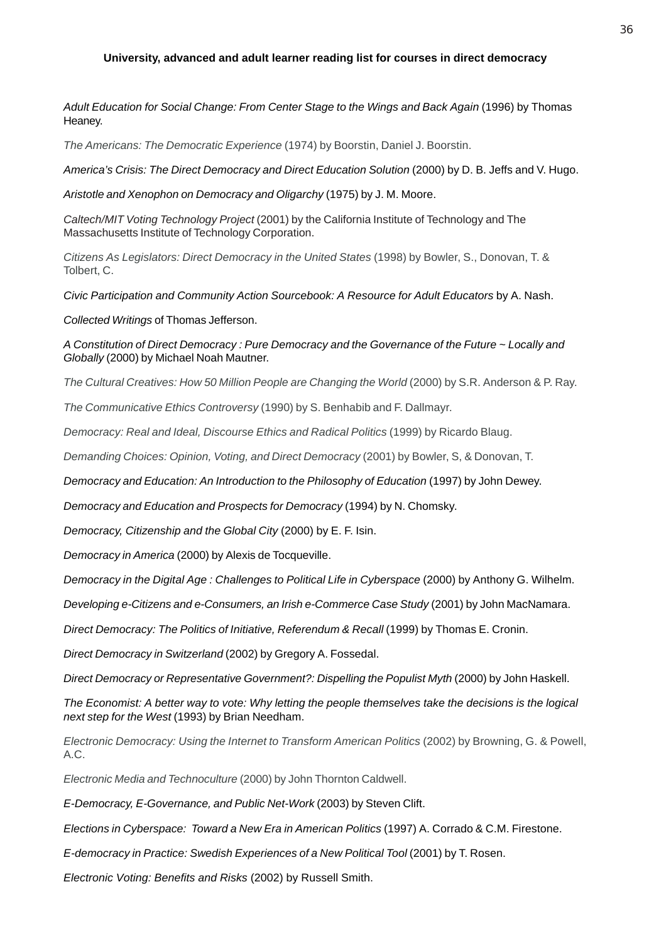# **University, advanced and adult learner reading list for courses in direct democracy**

*Adult Education for Social Change: From Center Stage to the Wings and Back Again* (1996) by Thomas Heaney.

*The Americans: The Democratic Experience* (1974) by Boorstin, Daniel J. Boorstin.

*America's Crisis: The Direct Democracy and Direct Education Solution* (2000) by D. B. Jeffs and V. Hugo.

*Aristotle and Xenophon on Democracy and Oligarchy* (1975) by J. M. Moore.

*Caltech/MIT Voting Technology Project* (2001) by the California Institute of Technology and The Massachusetts Institute of Technology Corporation.

*Citizens As Legislators: Direct Democracy in the United States* (1998) by Bowler, S., Donovan, T. & Tolbert, C.

*Civic Participation and Community Action Sourcebook: A Resource for Adult Educators* by A. Nash.

*Collected Writings* of Thomas Jefferson.

# *A Constitution of Direct Democracy : Pure Democracy and the Governance of the Future ~ Locally and Globally* (2000) by Michael Noah Mautner.

*The Cultural Creatives: How 50 Million People are Changing the World* (2000) by S.R. Anderson & P. Ray.

*The Communicative Ethics Controversy* (1990) by S. Benhabib and F. Dallmayr.

*Democracy: Real and Ideal, Discourse Ethics and Radical Politics* (1999) by Ricardo Blaug.

*Demanding Choices: Opinion, Voting, and Direct Democracy* (2001) by Bowler, S, & Donovan, T.

*Democracy and Education: An Introduction to the Philosophy of Education* (1997) by John Dewey.

*Democracy and Education and Prospects for Democracy* (1994) by N. Chomsky.

*Democracy, Citizenship and the Global City* (2000) by E. F. Isin.

*Democracy in America* (2000) by Alexis de Tocqueville.

*Democracy in the Digital Age : Challenges to Political Life in Cyberspace* (2000) by Anthony G. Wilhelm.

*Developing e-Citizens and e-Consumers, an Irish e-Commerce Case Study* (2001) by John MacNamara.

*Direct Democracy: The Politics of Initiative, Referendum & Recall* (1999) by Thomas E. Cronin.

*Direct Democracy in Switzerland* (2002) by Gregory A. Fossedal.

*Direct Democracy or Representative Government?: Dispelling the Populist Myth* (2000) by John Haskell.

*The Economist: A better way to vote: Why letting the people themselves take the decisions is the logical next step for the West* (1993) by Brian Needham.

*Electronic Democracy: Using the Internet to Transform American Politics* (2002) by Browning, G. & Powell, A.C.

*Electronic Media and Technoculture* (2000) by John Thornton Caldwell.

*E-Democracy, E-Governance, and Public Net-Work* (2003) by Steven Clift.

*Elections in Cyberspace: Toward a New Era in American Politics* (1997) A. Corrado & C.M. Firestone.

*E-democracy in Practice: Swedish Experiences of a New Political Tool* (2001) by T. Rosen.

*Electronic Voting: Benefits and Risks* (2002) by Russell Smith.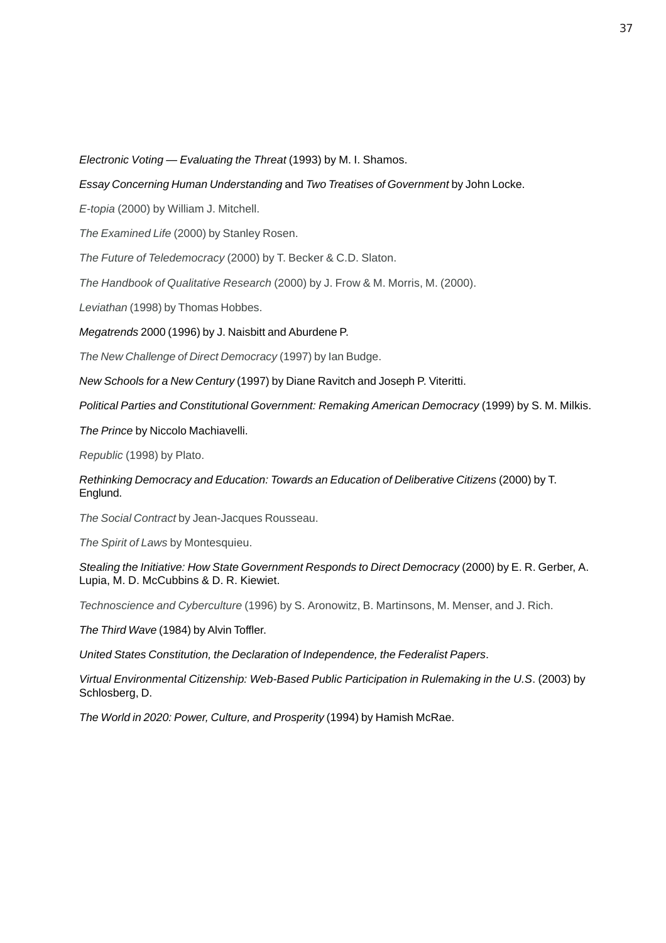*Electronic Voting — Evaluating the Threat* (1993) by M. I. Shamos.

# *Essay Concerning Human Understanding* and *Two Treatises of Government* by John Locke.

*E-topia* (2000) by William J. Mitchell.

*The Examined Life* (2000) by Stanley Rosen.

*The Future of Teledemocracy* (2000) by T. Becker & C.D. Slaton.

*The Handbook of Qualitative Research* (2000) by J. Frow & M. Morris, M. (2000).

*Leviathan* (1998) by Thomas Hobbes.

*Megatrends* 2000 (1996) by J. Naisbitt and Aburdene P.

*The New Challenge of Direct Democracy* (1997) by Ian Budge.

*New Schools for a New Century* (1997) by Diane Ravitch and Joseph P. Viteritti.

*Political Parties and Constitutional Government: Remaking American Democracy* (1999) by S. M. Milkis.

*The Prince* by Niccolo Machiavelli.

*Republic* (1998) by Plato.

# *Rethinking Democracy and Education: Towards an Education of Deliberative Citizens* (2000) by T. Englund.

*The Social Contract* by Jean-Jacques Rousseau.

*The Spirit of Laws* by Montesquieu.

# *Stealing the Initiative: How State Government Responds to Direct Democracy* (2000) by E. R. Gerber, A. Lupia, M. D. McCubbins & D. R. Kiewiet.

*Technoscience and Cyberculture* (1996) by S. Aronowitz, B. Martinsons, M. Menser, and J. Rich.

*The Third Wave* (1984) by Alvin Toffler.

*United States Constitution, the Declaration of Independence, the Federalist Papers*.

*Virtual Environmental Citizenship: Web-Based Public Participation in Rulemaking in the U.S*. (2003) by Schlosberg, D.

*The World in 2020: Power, Culture, and Prosperity* (1994) by Hamish McRae.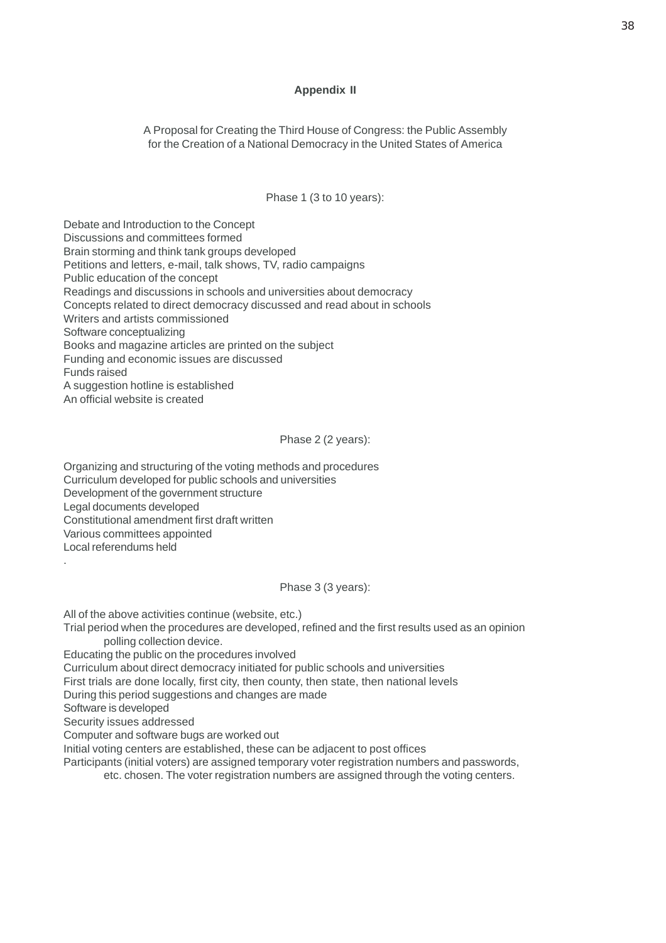# **Appendix II**

A Proposal for Creating the Third House of Congress: the Public Assembly for the Creation of a National Democracy in the United States of America

Phase 1 (3 to 10 years):

Debate and Introduction to the Concept Discussions and committees formed Brain storming and think tank groups developed Petitions and letters, e-mail, talk shows, TV, radio campaigns Public education of the concept Readings and discussions in schools and universities about democracy Concepts related to direct democracy discussed and read about in schools Writers and artists commissioned Software conceptualizing Books and magazine articles are printed on the subject Funding and economic issues are discussed Funds raised A suggestion hotline is established An official website is created

Phase 2 (2 years):

Organizing and structuring of the voting methods and procedures Curriculum developed for public schools and universities Development of the government structure Legal documents developed Constitutional amendment first draft written Various committees appointed Local referendums held

Phase 3 (3 years):

All of the above activities continue (website, etc.)

Trial period when the procedures are developed, refined and the first results used as an opinion polling collection device.

Educating the public on the procedures involved

Curriculum about direct democracy initiated for public schools and universities

First trials are done locally, first city, then county, then state, then national levels

During this period suggestions and changes are made

Software is developed

.

Security issues addressed

Computer and software bugs are worked out

Initial voting centers are established, these can be adjacent to post offices

Participants (initial voters) are assigned temporary voter registration numbers and passwords,

etc. chosen. The voter registration numbers are assigned through the voting centers.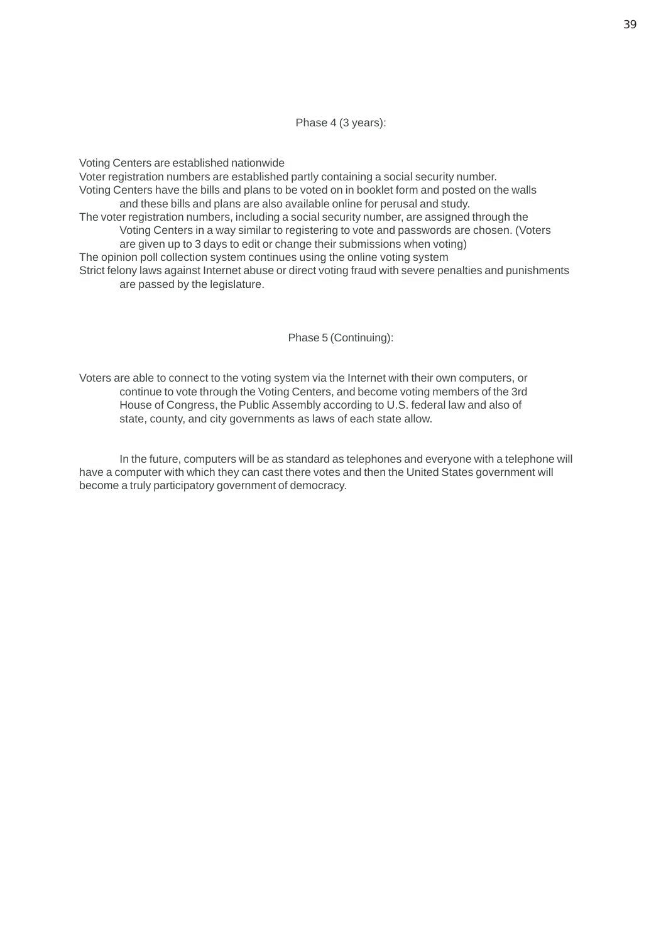Phase 4 (3 years):

Voting Centers are established nationwide Voter registration numbers are established partly containing a social security number. Voting Centers have the bills and plans to be voted on in booklet form and posted on the walls and these bills and plans are also available online for perusal and study. The voter registration numbers, including a social security number, are assigned through the Voting Centers in a way similar to registering to vote and passwords are chosen. (Voters are given up to 3 days to edit or change their submissions when voting) The opinion poll collection system continues using the online voting system Strict felony laws against Internet abuse or direct voting fraud with severe penalties and punishments are passed by the legislature.

Phase 5 (Continuing):

Voters are able to connect to the voting system via the Internet with their own computers, or continue to vote through the Voting Centers, and become voting members of the 3rd House of Congress, the Public Assembly according to U.S. federal law and also of state, county, and city governments as laws of each state allow.

In the future, computers will be as standard as telephones and everyone with a telephone will have a computer with which they can cast there votes and then the United States government will become a truly participatory government of democracy.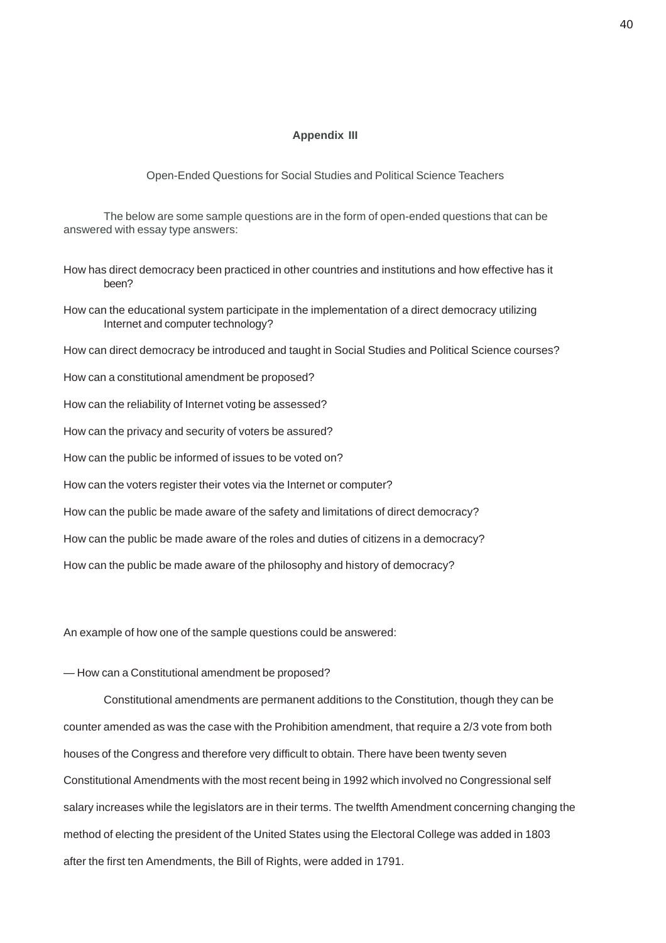## **Appendix III**

Open-Ended Questions for Social Studies and Political Science Teachers

The below are some sample questions are in the form of open-ended questions that can be answered with essay type answers:

How has direct democracy been practiced in other countries and institutions and how effective has it been?

How can the educational system participate in the implementation of a direct democracy utilizing Internet and computer technology?

How can direct democracy be introduced and taught in Social Studies and Political Science courses?

How can a constitutional amendment be proposed?

How can the reliability of Internet voting be assessed?

How can the privacy and security of voters be assured?

How can the public be informed of issues to be voted on?

How can the voters register their votes via the Internet or computer?

How can the public be made aware of the safety and limitations of direct democracy?

How can the public be made aware of the roles and duties of citizens in a democracy?

How can the public be made aware of the philosophy and history of democracy?

An example of how one of the sample questions could be answered:

— How can a Constitutional amendment be proposed?

Constitutional amendments are permanent additions to the Constitution, though they can be counter amended as was the case with the Prohibition amendment, that require a 2/3 vote from both houses of the Congress and therefore very difficult to obtain. There have been twenty seven Constitutional Amendments with the most recent being in 1992 which involved no Congressional self salary increases while the legislators are in their terms. The twelfth Amendment concerning changing the method of electing the president of the United States using the Electoral College was added in 1803 after the first ten Amendments, the Bill of Rights, were added in 1791.